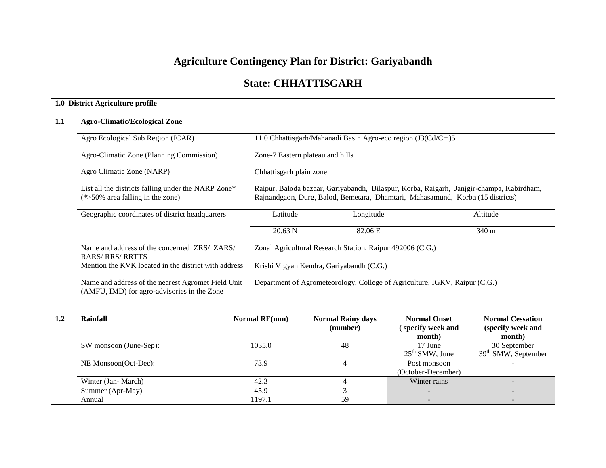# **Agriculture Contingency Plan for District: Gariyabandh**

## **State: CHHATTISGARH**

|     | 1.0 District Agriculture profile                                                                  |                                                           |                                                                            |                                                                                                                                                                            |  |  |  |  |
|-----|---------------------------------------------------------------------------------------------------|-----------------------------------------------------------|----------------------------------------------------------------------------|----------------------------------------------------------------------------------------------------------------------------------------------------------------------------|--|--|--|--|
| 1.1 | <b>Agro-Climatic/Ecological Zone</b>                                                              |                                                           |                                                                            |                                                                                                                                                                            |  |  |  |  |
|     | Agro Ecological Sub Region (ICAR)                                                                 |                                                           | 11.0 Chhattisgarh/Mahanadi Basin Agro-eco region (J3(Cd/Cm)5               |                                                                                                                                                                            |  |  |  |  |
|     | Agro-Climatic Zone (Planning Commission)                                                          | Zone-7 Eastern plateau and hills                          |                                                                            |                                                                                                                                                                            |  |  |  |  |
|     | Agro Climatic Zone (NARP)                                                                         | Chhattisgarh plain zone                                   |                                                                            |                                                                                                                                                                            |  |  |  |  |
|     | List all the districts falling under the NARP Zone*<br>$(*>50\%$ area falling in the zone)        |                                                           |                                                                            | Raipur, Baloda bazaar, Gariyabandh, Bilaspur, Korba, Raigarh, Janjgir-champa, Kabirdham,<br>Rajnandgaon, Durg, Balod, Bemetara, Dhamtari, Mahasamund, Korba (15 districts) |  |  |  |  |
|     | Geographic coordinates of district headquarters                                                   | Latitude                                                  | Longitude                                                                  | Altitude                                                                                                                                                                   |  |  |  |  |
|     |                                                                                                   | 20.63 N                                                   | 82.06 E                                                                    | $340 \text{ m}$                                                                                                                                                            |  |  |  |  |
|     | Name and address of the concerned ZRS/ ZARS/<br><b>RARS/RRS/RRTTS</b>                             | Zonal Agricultural Research Station, Raipur 492006 (C.G.) |                                                                            |                                                                                                                                                                            |  |  |  |  |
|     | Mention the KVK located in the district with address                                              | Krishi Vigyan Kendra, Gariyabandh (C.G.)                  |                                                                            |                                                                                                                                                                            |  |  |  |  |
|     | Name and address of the nearest Agromet Field Unit<br>(AMFU, IMD) for agro-advisories in the Zone |                                                           | Department of Agrometeorology, College of Agriculture, IGKV, Raipur (C.G.) |                                                                                                                                                                            |  |  |  |  |

| 1.2 | Rainfall               | <b>Normal RF(mm)</b> | <b>Normal Rainy days</b> | <b>Normal Onset</b> | <b>Normal Cessation</b> |
|-----|------------------------|----------------------|--------------------------|---------------------|-------------------------|
|     |                        |                      | (number)                 | specify week and    | (specify week and       |
|     |                        |                      |                          | month)              | month)                  |
|     | SW monsoon (June-Sep): | 1035.0               | 48                       | 17 June             | 30 September            |
|     |                        |                      |                          | $25th$ SMW, June    | $39th$ SMW, September   |
|     | NE Monsoon(Oct-Dec):   | 73.9                 |                          | Post monsoon        |                         |
|     |                        |                      |                          | (October-December)  |                         |
|     | Winter (Jan-March)     | 42.3                 |                          | Winter rains        |                         |
|     | Summer (Apr-May)       | 45.9                 |                          |                     |                         |
|     | Annual                 | 1197.1               | 59                       |                     |                         |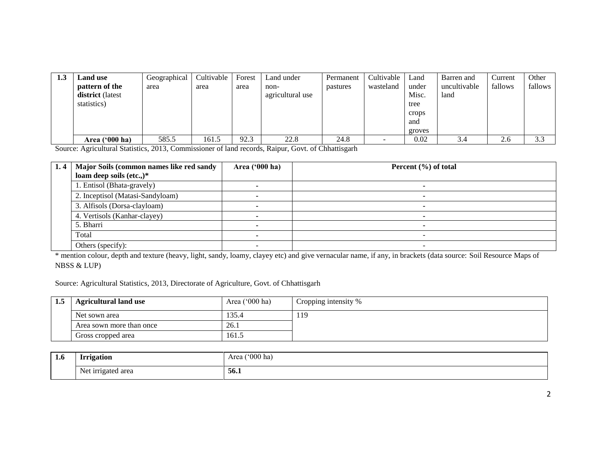| 1.3 | <b>Land</b> use  | Geographical | Cultivable | Forest | Land under       | Permanent | Cultivable | Land   | Barren and   | Current | Other   |
|-----|------------------|--------------|------------|--------|------------------|-----------|------------|--------|--------------|---------|---------|
|     | pattern of the   | area         | area       | area   | non-             | pastures  | wasteland  | under  | uncultivable | fallows | fallows |
|     | district (latest |              |            |        | agricultural use |           |            | Misc.  | land         |         |         |
|     | statistics)      |              |            |        |                  |           |            | tree   |              |         |         |
|     |                  |              |            |        |                  |           |            | crops  |              |         |         |
|     |                  |              |            |        |                  |           |            | and    |              |         |         |
|     |                  |              |            |        |                  |           |            | groves |              |         |         |
|     | Area $('000 ha)$ | 585.5        | 161.5      | 92.3   | 22.8             | 24.8      |            | 0.02   | 3.4          | 2.6     | 3.3     |

Source: Agricultural Statistics, 2013, Commissioner of land records, Raipur, Govt. of Chhattisgarh

| 1.4 | Major Soils (common names like red sandy | Area ('000 ha) | Percent $(\% )$ of total |
|-----|------------------------------------------|----------------|--------------------------|
|     | loam deep soils (etc.,)*                 |                |                          |
|     | 1. Entisol (Bhata-gravely)               |                |                          |
|     | 2. Inceptisol (Matasi-Sandyloam)         |                |                          |
|     | 3. Alfisols (Dorsa-clayloam)             |                |                          |
|     | 4. Vertisols (Kanhar-clayey)             |                |                          |
|     | 5. Bharri                                |                |                          |
|     | Total                                    |                |                          |
|     | Others (specify):                        |                |                          |

\* mention colour, depth and texture (heavy, light, sandy, loamy, clayey etc) and give vernacular name, if any, in brackets (data source: Soil Resource Maps of NBSS & LUP)

Source: Agricultural Statistics, 2013, Directorate of Agriculture, Govt. of Chhattisgarh

| <b>Agricultural land use</b> | Area $('000 ha)$ | Cropping intensity % |
|------------------------------|------------------|----------------------|
| Net sown area                | .35.4            | 119                  |
| Area sown more than once     | 26.1             |                      |
| Gross cropped area           | 161.5            |                      |

| <b>1.6</b> | rigation <b>**</b><br>  | $^{\circ}000$ ha<br>Area |
|------------|-------------------------|--------------------------|
|            | Net irrigated area<br>ັ | 56.1                     |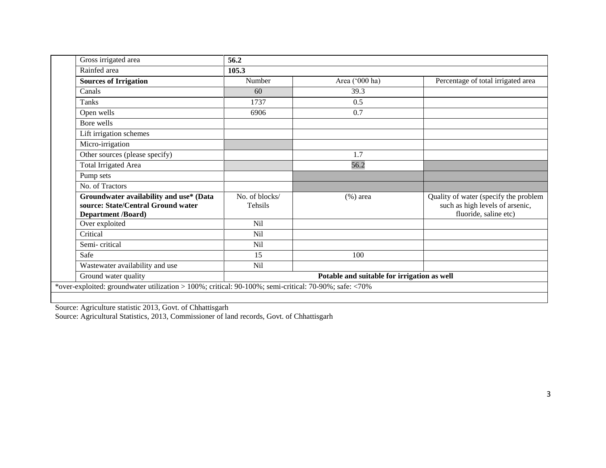| Gross irrigated area                                                                                       | 56.2                                        |                |                                                                                                   |  |  |  |
|------------------------------------------------------------------------------------------------------------|---------------------------------------------|----------------|---------------------------------------------------------------------------------------------------|--|--|--|
| Rainfed area                                                                                               | 105.3                                       |                |                                                                                                   |  |  |  |
| <b>Sources of Irrigation</b>                                                                               | Number                                      | Area ('000 ha) | Percentage of total irrigated area                                                                |  |  |  |
| Canals                                                                                                     | 60                                          | 39.3           |                                                                                                   |  |  |  |
| Tanks                                                                                                      | 1737                                        | 0.5            |                                                                                                   |  |  |  |
| Open wells                                                                                                 | 6906                                        | 0.7            |                                                                                                   |  |  |  |
| Bore wells                                                                                                 |                                             |                |                                                                                                   |  |  |  |
| Lift irrigation schemes                                                                                    |                                             |                |                                                                                                   |  |  |  |
| Micro-irrigation                                                                                           |                                             |                |                                                                                                   |  |  |  |
| Other sources (please specify)                                                                             |                                             | 1.7            |                                                                                                   |  |  |  |
| <b>Total Irrigated Area</b>                                                                                |                                             | 56.2           |                                                                                                   |  |  |  |
| Pump sets                                                                                                  |                                             |                |                                                                                                   |  |  |  |
| No. of Tractors                                                                                            |                                             |                |                                                                                                   |  |  |  |
| Groundwater availability and use* (Data<br>source: State/Central Ground water<br><b>Department /Board)</b> | No. of blocks/<br><b>Tehsils</b>            | $(\%)$ area    | Quality of water (specify the problem<br>such as high levels of arsenic,<br>fluoride, saline etc) |  |  |  |
| Over exploited                                                                                             | Nil                                         |                |                                                                                                   |  |  |  |
| Critical                                                                                                   | <b>Nil</b>                                  |                |                                                                                                   |  |  |  |
| Semi-critical                                                                                              | Nil                                         |                |                                                                                                   |  |  |  |
| Safe                                                                                                       | 15                                          | 100            |                                                                                                   |  |  |  |
| Wastewater availability and use                                                                            | Nil                                         |                |                                                                                                   |  |  |  |
| Ground water quality                                                                                       | Potable and suitable for irrigation as well |                |                                                                                                   |  |  |  |
| *over-exploited: groundwater utilization > 100%; critical: 90-100%; semi-critical: 70-90%; safe: <70%      |                                             |                |                                                                                                   |  |  |  |
|                                                                                                            |                                             |                |                                                                                                   |  |  |  |

Source: Agriculture statistic 2013, Govt. of Chhattisgarh

Source: Agricultural Statistics, 2013, Commissioner of land records, Govt. of Chhattisgarh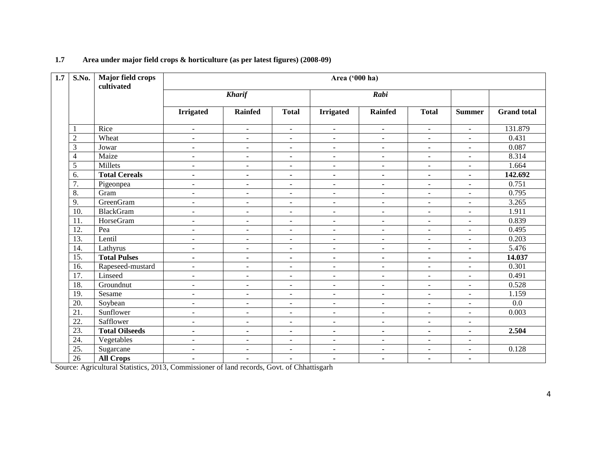| 1.7 | S.No.             | <b>Major field crops</b><br>cultivated | Area ('000 ha)           |                          |                          |                          |                          |                          |                          |                    |
|-----|-------------------|----------------------------------------|--------------------------|--------------------------|--------------------------|--------------------------|--------------------------|--------------------------|--------------------------|--------------------|
|     |                   |                                        |                          | <b>Kharif</b><br>Rabi    |                          |                          |                          |                          |                          |                    |
|     |                   |                                        | <b>Irrigated</b>         | <b>Rainfed</b>           | <b>Total</b>             | <b>Irrigated</b>         | <b>Rainfed</b>           | <b>Total</b>             | <b>Summer</b>            | <b>Grand</b> total |
|     |                   | Rice                                   | $\blacksquare$           | $\blacksquare$           | $\overline{\phantom{a}}$ | $\overline{\phantom{a}}$ | $\blacksquare$           | $\overline{\phantom{a}}$ | $\blacksquare$           | 131.879            |
|     | $\overline{c}$    | Wheat                                  | $\blacksquare$           | $\blacksquare$           | $\overline{\phantom{a}}$ | $\overline{\phantom{a}}$ | $\sim$                   | $\blacksquare$           | $\blacksquare$           | 0.431              |
|     | 3                 | Jowar                                  | $\blacksquare$           | $\overline{\phantom{a}}$ | $\sim$                   | $\blacksquare$           | $\blacksquare$           | $\overline{\phantom{a}}$ | $\blacksquare$           | 0.087              |
|     | 4                 | Maize                                  | $\overline{\phantom{a}}$ | $\equiv$                 | $\blacksquare$           | $\blacksquare$           | $\sim$                   | $\equiv$                 | $\mathbf{r}$             | 8.314              |
|     | 5                 | Millets                                | $\mathbf{r}$             | $\blacksquare$           | $\blacksquare$           | $\blacksquare$           | $\blacksquare$           | $\blacksquare$           | $\blacksquare$           | 1.664              |
|     | 6.                | <b>Total Cereals</b>                   | $\blacksquare$           | $\blacksquare$           | $\blacksquare$           | $\blacksquare$           | ٠                        | $\blacksquare$           | $\blacksquare$           | 142.692            |
|     | 7.                | Pigeonpea                              | $\overline{\phantom{a}}$ | $\blacksquare$           | $\sim$                   | $\blacksquare$           | $\blacksquare$           | $\blacksquare$           | $\blacksquare$           | 0.751              |
|     | 8.                | Gram                                   | $\sim$                   | $\blacksquare$           | $\overline{\phantom{a}}$ | $\blacksquare$           | $\sim$                   | $\blacksquare$           | $\overline{\phantom{a}}$ | 0.795              |
|     | 9.                | GreenGram                              | $\blacksquare$           | $\overline{\phantom{a}}$ | $\blacksquare$           | $\blacksquare$           | $\blacksquare$           | $\blacksquare$           | $\blacksquare$           | 3.265              |
|     | 10.               | <b>BlackGram</b>                       | $\mathbf{r}$             | $\equiv$                 | $\sim$                   | $\blacksquare$           | $\mathbf{r}$             | $\blacksquare$           | $\omega$                 | 1.911              |
|     | 11.               | HorseGram                              | $\blacksquare$           | $\blacksquare$           | $\overline{\phantom{a}}$ | $\overline{\phantom{a}}$ | $\overline{\phantom{a}}$ | $\blacksquare$           | $\blacksquare$           | 0.839              |
|     | 12.               | Pea                                    | $\overline{\phantom{a}}$ | $\overline{\phantom{a}}$ | $\overline{\phantom{a}}$ | $\blacksquare$           | $\blacksquare$           | $\overline{\phantom{a}}$ | $\blacksquare$           | 0.495              |
|     | $\overline{13}$ . | Lentil                                 | $\blacksquare$           | $\blacksquare$           | $\blacksquare$           | $\blacksquare$           | $\blacksquare$           | $\blacksquare$           | $\equiv$                 | 0.203              |
|     | 14.               | Lathyrus                               | $\sim$                   | $\blacksquare$           | $\overline{\phantom{a}}$ | $\blacksquare$           | $\blacksquare$           | $\overline{a}$           | $\overline{\phantom{a}}$ | 5.476              |
|     | 15.               | <b>Total Pulses</b>                    | $\blacksquare$           | $\blacksquare$           | $\blacksquare$           | $\blacksquare$           | ٠                        | $\blacksquare$           | $\blacksquare$           | 14.037             |
|     | $\overline{16}$ . | Rapeseed-mustard                       | $\blacksquare$           | $\overline{\phantom{a}}$ | $\blacksquare$           | $\sim$                   | $\blacksquare$           | $\overline{\phantom{a}}$ | $\blacksquare$           | 0.301              |
|     | 17.               | Linseed                                | $\blacksquare$           | $\overline{\phantom{a}}$ | $\overline{\phantom{a}}$ | $\overline{\phantom{a}}$ | $\blacksquare$           | $\blacksquare$           | $\blacksquare$           | 0.491              |
|     | 18.               | Groundnut                              | $\blacksquare$           | $\blacksquare$           | $\blacksquare$           | $\blacksquare$           | $\blacksquare$           | $\blacksquare$           | $\blacksquare$           | 0.528              |
|     | 19.               | Sesame                                 | $\overline{a}$           | $\blacksquare$           | $\blacksquare$           | $\sim$                   | $\blacksquare$           | $\blacksquare$           | $\blacksquare$           | 1.159              |
|     | 20.               | Soybean                                | $\sim$                   | $\sim$                   | $\blacksquare$           | $\overline{\phantom{a}}$ | $\blacksquare$           | $\overline{a}$           | $\overline{a}$           | $0.0\,$            |
|     | 21.               | Sunflower                              | $\overline{\phantom{a}}$ | $\overline{\phantom{a}}$ | $\sim$                   | $\blacksquare$           | $\blacksquare$           | $\overline{\phantom{a}}$ | $\blacksquare$           | 0.003              |
|     | 22.               | Safflower                              | $\blacksquare$           | $\blacksquare$           | $\sim$                   | $\overline{\phantom{a}}$ | $\sim$                   | $\overline{\phantom{a}}$ | $\blacksquare$           |                    |
|     | 23.               | <b>Total Oilseeds</b>                  | $\blacksquare$           | $\blacksquare$           | $\blacksquare$           | $\blacksquare$           | ٠                        | $\blacksquare$           | $\blacksquare$           | 2.504              |
|     | 24.               | Vegetables                             | $\mathbf{r}$             | $\overline{\phantom{a}}$ | $\blacksquare$           | $\blacksquare$           | $\mathbf{r}$             | $\blacksquare$           | $\blacksquare$           |                    |
|     | $\overline{25}$ . | Sugarcane                              | $\sim$                   | $\blacksquare$           | $\blacksquare$           | $\blacksquare$           | $\overline{\phantom{a}}$ | $\blacksquare$           | $\blacksquare$           | 0.128              |
|     | $\overline{26}$   | <b>All Crops</b>                       | $\blacksquare$           | $\blacksquare$           | $\blacksquare$           | $\blacksquare$           | $\blacksquare$           | $\blacksquare$           | $\blacksquare$           |                    |

## **1.7 Area under major field crops & horticulture (as per latest figures) (2008-09)**

Source: Agricultural Statistics, 2013, Commissioner of land records, Govt. of Chhattisgarh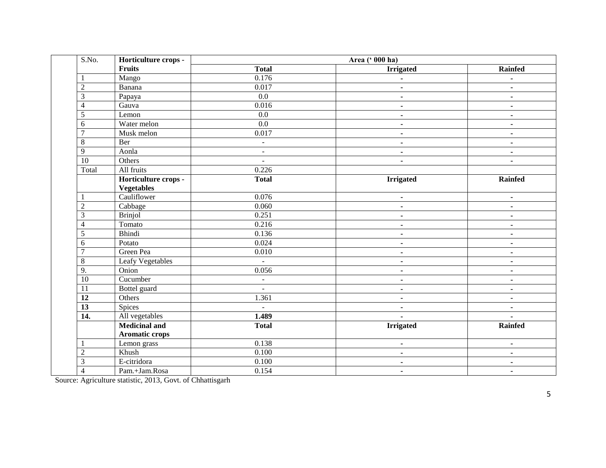| S.No.             | Horticulture crops -    | Area (' 000 ha)          |                  |                |  |
|-------------------|-------------------------|--------------------------|------------------|----------------|--|
|                   | Fruits                  | <b>Total</b>             | <b>Irrigated</b> | Rainfed        |  |
| $\mathbf{1}$      | Mango                   | 0.176                    | $\blacksquare$   | $\blacksquare$ |  |
| $\overline{2}$    | Banana                  | 0.017                    | $\blacksquare$   | $\blacksquare$ |  |
| $\overline{3}$    | Papaya                  | $\overline{0.0}$         | ۰.               | $\blacksquare$ |  |
| $\overline{4}$    | Gauva                   | 0.016                    | $\blacksquare$   | $\blacksquare$ |  |
| 5                 | Lemon                   | $\overline{0.0}$         | $\blacksquare$   | $\blacksquare$ |  |
| 6                 | Water melon             | 0.0                      | $\blacksquare$   | $\blacksquare$ |  |
| $\overline{7}$    | Musk melon              | 0.017                    | $\blacksquare$   | $\blacksquare$ |  |
| $\overline{8}$    | Ber                     | $\omega$                 | $\blacksquare$   | $\sim$         |  |
| $\overline{9}$    | Aonla                   | $\omega$                 | $\blacksquare$   | $\blacksquare$ |  |
| $\overline{10}$   | Others                  | $\sim$                   | $\blacksquare$   | $\blacksquare$ |  |
| Total             | All fruits              | 0.226                    |                  |                |  |
|                   | Horticulture crops -    | <b>Total</b>             | <b>Irrigated</b> | Rainfed        |  |
|                   | <b>Vegetables</b>       |                          |                  |                |  |
| 1                 | Cauliflower             | 0.076                    | $\blacksquare$   | $\blacksquare$ |  |
| $\overline{2}$    | Cabbage                 | 0.060                    | $\sim$           | $\sim$         |  |
| 3                 | <b>Brinjol</b>          | 0.251                    | $\sim$           | $\sim$         |  |
| $\overline{4}$    | Tomato                  | 0.216                    | $\blacksquare$   | $\blacksquare$ |  |
| 5                 | Bhindi                  | 0.136                    | $\blacksquare$   | $\blacksquare$ |  |
| 6                 | Potato                  | 0.024                    | $\sim$           | $\blacksquare$ |  |
| $\overline{7}$    | Green Pea               | 0.010                    | $\blacksquare$   | $\blacksquare$ |  |
| $\,8\,$           | <b>Leafy Vegetables</b> | $\omega$                 | $\blacksquare$   | $\blacksquare$ |  |
| 9.                | Onion                   | 0.056                    | $\sim$           | $\blacksquare$ |  |
| $\overline{10}$   | Cucumber                | $\overline{\phantom{a}}$ | $\blacksquare$   | $\blacksquare$ |  |
| $\overline{11}$   | Bottel guard            | $\sim$                   | $\blacksquare$   | $\blacksquare$ |  |
| $\overline{12}$   | Others                  | 1.361                    | $\blacksquare$   | $\blacksquare$ |  |
| $\overline{13}$   | <b>Spices</b>           | $\omega$                 | $\blacksquare$   | $\blacksquare$ |  |
| $\overline{14}$ . | All vegetables          | 1.489                    | $\blacksquare$   | $\blacksquare$ |  |
|                   | <b>Medicinal and</b>    | <b>Total</b>             | <b>Irrigated</b> | Rainfed        |  |
|                   | <b>Aromatic crops</b>   |                          |                  |                |  |
| 1                 | Lemon grass             | 0.138                    | $\sim$           | $\sim$         |  |
| $\overline{2}$    | Khush                   | 0.100                    | $\blacksquare$   | $\blacksquare$ |  |
| $\overline{3}$    | E-citridora             | 0.100                    | $\blacksquare$   | $\blacksquare$ |  |
| $\overline{4}$    | Pam.+Jam.Rosa           | 0.154                    | ٠                | ٠              |  |

Source: Agriculture statistic, 2013, Govt. of Chhattisgarh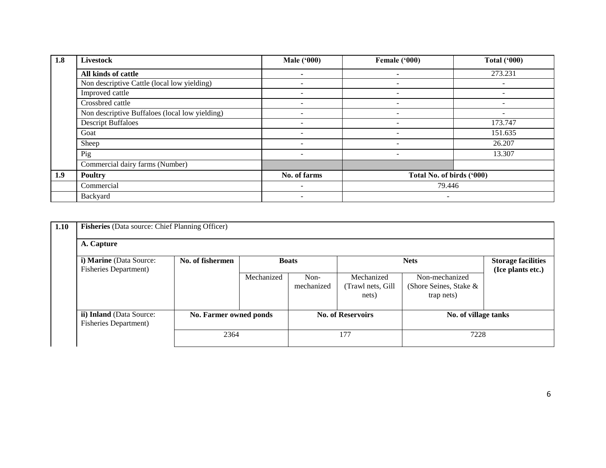| 1.8 | <b>Livestock</b>                               | <b>Male</b> ('000)       | Female ('000)             | <b>Total ('000)</b>      |
|-----|------------------------------------------------|--------------------------|---------------------------|--------------------------|
|     | All kinds of cattle                            | $\overline{\phantom{a}}$ | $\overline{\phantom{a}}$  | 273.231                  |
|     | Non descriptive Cattle (local low yielding)    | $\overline{\phantom{0}}$ | $\overline{\phantom{a}}$  | -                        |
|     | Improved cattle                                | $\overline{\phantom{a}}$ | $\overline{\phantom{a}}$  |                          |
|     | Crossbred cattle                               | $\overline{\phantom{0}}$ | $\overline{\phantom{a}}$  | $\overline{\phantom{a}}$ |
|     | Non descriptive Buffaloes (local low yielding) | $\overline{\phantom{0}}$ | $\overline{\phantom{0}}$  |                          |
|     | <b>Descript Buffaloes</b>                      | $\overline{\phantom{0}}$ | $\overline{\phantom{0}}$  | 173.747                  |
|     | Goat                                           | $\overline{\phantom{a}}$ | $\overline{\phantom{a}}$  | 151.635                  |
|     | Sheep                                          | -                        |                           | 26.207                   |
|     | Pig                                            | $\overline{\phantom{0}}$ | $\overline{\phantom{a}}$  | 13.307                   |
|     | Commercial dairy farms (Number)                |                          |                           |                          |
| 1.9 | <b>Poultry</b>                                 | No. of farms             | Total No. of birds ('000) |                          |
|     | Commercial                                     | $\overline{\phantom{0}}$ | 79.446                    |                          |
|     | Backyard                                       | $\overline{\phantom{0}}$ | $\overline{\phantom{0}}$  |                          |

| 1.10 | Fisheries (Data source: Chief Planning Officer)           |                  |                        |                      |                                          |                                                        |                                                |  |  |  |  |  |
|------|-----------------------------------------------------------|------------------|------------------------|----------------------|------------------------------------------|--------------------------------------------------------|------------------------------------------------|--|--|--|--|--|
|      | A. Capture                                                |                  |                        |                      |                                          |                                                        |                                                |  |  |  |  |  |
|      | i) Marine (Data Source:<br><b>Fisheries Department)</b>   | No. of fishermen |                        | <b>Boats</b>         |                                          | <b>Nets</b>                                            | <b>Storage facilities</b><br>(Ice plants etc.) |  |  |  |  |  |
|      |                                                           |                  | Mechanized             | $Non-$<br>mechanized | Mechanized<br>(Trawl nets, Gill<br>nets) | Non-mechanized<br>(Shore Seines, Stake &<br>trap nets) |                                                |  |  |  |  |  |
|      | ii) Inland (Data Source:<br><b>Fisheries Department</b> ) |                  | No. Farmer owned ponds |                      | <b>No. of Reservoirs</b>                 | No. of village tanks                                   |                                                |  |  |  |  |  |
|      |                                                           |                  | 2364                   |                      | 177                                      | 7228                                                   |                                                |  |  |  |  |  |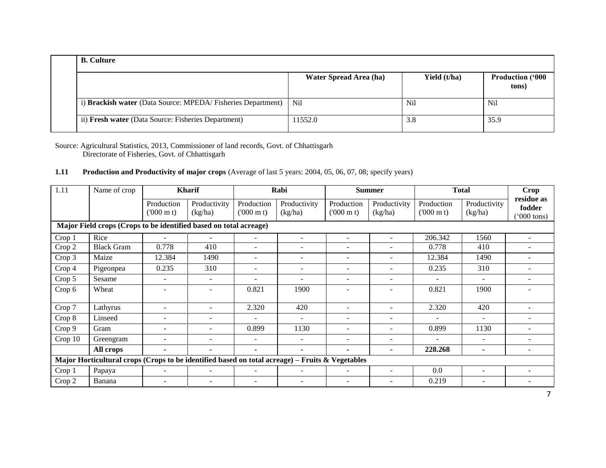| <b>B.</b> Culture                                            |                        |              |                                  |
|--------------------------------------------------------------|------------------------|--------------|----------------------------------|
|                                                              | Water Spread Area (ha) | Yield (t/ha) | <b>Production ('000</b><br>tons) |
| i) Brackish water (Data Source: MPEDA/ Fisheries Department) | N <sub>il</sub>        | Nil          | N <sub>il</sub>                  |
| ii) Fresh water (Data Source: Fisheries Department)          | 11552.0                | 3.8          | 35.9                             |

Source: Agricultural Statistics, 2013, Commissioner of land records, Govt. of Chhattisgarh Directorate of Fisheries, Govt. of Chhattisgarh

## **1.11 Production and Productivity of major crops** (Average of last 5 years: 2004, 05, 06, 07, 08; specify years)

| 1.11    | Name of crop<br><b>Kharif</b>                                                                   |                                 |                         | Rabi                            |                          | <b>Summer</b>                   |                          | <b>Total</b>                    | <b>Crop</b>              |                                              |
|---------|-------------------------------------------------------------------------------------------------|---------------------------------|-------------------------|---------------------------------|--------------------------|---------------------------------|--------------------------|---------------------------------|--------------------------|----------------------------------------------|
|         |                                                                                                 | Production<br>$(000 \text{ m})$ | Productivity<br>(kg/ha) | Production<br>$(000 \text{ m})$ | Productivity<br>(kg/ha)  | Production<br>$(000 \text{ m})$ | Productivity<br>(kg/ha)  | Production<br>$(000 \text{ m})$ | Productivity<br>(kg/ha)  | residue as<br>fodder<br>$(000 \text{ tons})$ |
|         | Major Field crops (Crops to be identified based on total acreage)                               |                                 |                         |                                 |                          |                                 |                          |                                 |                          |                                              |
| Crop 1  | Rice                                                                                            | $\equiv$                        |                         | $\overline{\phantom{a}}$        | $\blacksquare$           | $\blacksquare$                  |                          | 206.342                         | 1560                     |                                              |
| Crop 2  | <b>Black Gram</b>                                                                               | 0.778                           | 410                     | $\overline{\phantom{a}}$        |                          | $\overline{\phantom{0}}$        |                          | 0.778                           | 410                      |                                              |
| Crop 3  | Maize                                                                                           | 12.384                          | 1490                    | $\overline{\phantom{a}}$        |                          | ÷                               |                          | 12.384                          | 1490                     |                                              |
| Crop 4  | Pigeonpea                                                                                       | 0.235                           | 310                     | $\overline{\phantom{a}}$        |                          | $\overline{\phantom{a}}$        |                          | 0.235                           | 310                      |                                              |
| Crop 5  | Sesame                                                                                          | $\overline{\phantom{a}}$        |                         | $\overline{\phantom{a}}$        |                          | $\overline{\phantom{a}}$        | $\overline{\phantom{a}}$ |                                 | $\overline{\phantom{a}}$ | ۰                                            |
| Crop 6  | Wheat                                                                                           | $\equiv$                        |                         | 0.821                           | 1900                     | ÷                               | $\overline{\phantom{a}}$ | 0.821                           | 1900                     |                                              |
| Crop 7  | Lathyrus                                                                                        | ۰                               |                         | 2.320                           | 420                      |                                 |                          | 2.320                           | 420                      |                                              |
| Crop 8  | Linseed                                                                                         |                                 |                         |                                 |                          | ÷                               |                          |                                 |                          |                                              |
| Crop 9  | Gram                                                                                            |                                 |                         | 0.899                           | 1130                     | $\overline{\phantom{0}}$        |                          | 0.899                           | 1130                     |                                              |
| Crop 10 | Greengram                                                                                       | $\overline{\phantom{0}}$        |                         | $\overline{\phantom{a}}$        | $\sim$                   | $\overline{\phantom{a}}$        | $\overline{\phantom{a}}$ | $\equiv$                        | $\overline{\phantom{a}}$ | ٠                                            |
|         | All crops                                                                                       | ۰                               |                         | $\blacksquare$                  | $\blacksquare$           | ٠                               | $\overline{\phantom{0}}$ | 228.268                         | ۰                        |                                              |
|         | Major Horticultural crops (Crops to be identified based on total acreage) – Fruits & Vegetables |                                 |                         |                                 |                          |                                 |                          |                                 |                          |                                              |
| Crop 1  | Papaya                                                                                          | $\equiv$                        |                         | $\overline{\phantom{a}}$        | $\overline{\phantom{a}}$ | $\overline{\phantom{a}}$        | $\overline{\phantom{0}}$ | 0.0                             | $\overline{\phantom{a}}$ | $\overline{\phantom{a}}$                     |
| Crop 2  | Banana                                                                                          | -                               |                         | -                               |                          |                                 |                          | 0.219                           |                          |                                              |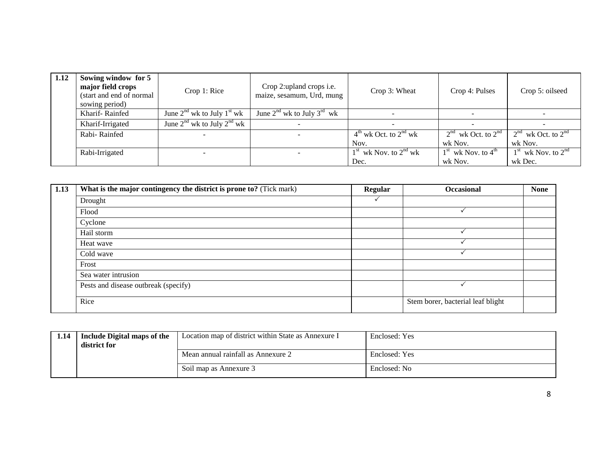| 1.12 | Sowing window for 5<br>major field crops<br>Crop 1: Rice<br>(start and end of normal<br>sowing period) |                                      | Crop 2: upland crops <i>i.e.</i><br>maize, sesamum, Urd, mung | Crop 3: Wheat             | Crop 4: Pulses         | Crop 5: oilseed        |
|------|--------------------------------------------------------------------------------------------------------|--------------------------------------|---------------------------------------------------------------|---------------------------|------------------------|------------------------|
|      | Kharif-Rainfed                                                                                         | June $2^{nd}$ wk to July $1^{st}$ wk | June $2^{nd}$ wk to July $3^{rd}$ wk                          |                           |                        |                        |
|      | Kharif-Irrigated                                                                                       | June $2^{nd}$ wk to July $2^{nd}$ wk |                                                               |                           |                        |                        |
|      | Rabi-Rainfed                                                                                           |                                      |                                                               | $4th$ wk Oct. to $2nd$ wk | $2nd$ wk Oct. to $2nd$ | $2nd$ wk Oct. to $2nd$ |
|      |                                                                                                        |                                      |                                                               | Nov.                      | wk Nov.                | wk Nov.                |
|      | Rabi-Irrigated                                                                                         |                                      |                                                               | $1st$ wk Nov. to $2nd$ wk | $1st$ wk Nov. to $4th$ | $1st$ wk Nov. to $2nd$ |
|      |                                                                                                        |                                      |                                                               | Dec.                      | wk Nov.                | wk Dec.                |

| 1.13 | What is the major contingency the district is prone to? (Tick mark) | <b>Regular</b> | <b>Occasional</b>                 | <b>None</b> |
|------|---------------------------------------------------------------------|----------------|-----------------------------------|-------------|
|      | Drought                                                             |                |                                   |             |
|      | Flood                                                               |                |                                   |             |
|      | Cyclone                                                             |                |                                   |             |
|      | Hail storm                                                          |                |                                   |             |
|      | Heat wave                                                           |                |                                   |             |
|      | Cold wave                                                           |                |                                   |             |
|      | Frost                                                               |                |                                   |             |
|      | Sea water intrusion                                                 |                |                                   |             |
|      | Pests and disease outbreak (specify)                                |                |                                   |             |
|      | Rice                                                                |                | Stem borer, bacterial leaf blight |             |

| 1.14 | Include Digital maps of the<br>district for | Location map of district within State as Annexure I | Enclosed: Yes |
|------|---------------------------------------------|-----------------------------------------------------|---------------|
|      |                                             | Mean annual rainfall as Annexure 2                  | Enclosed: Yes |
|      |                                             | Soil map as Annexure 3                              | Enclosed: No  |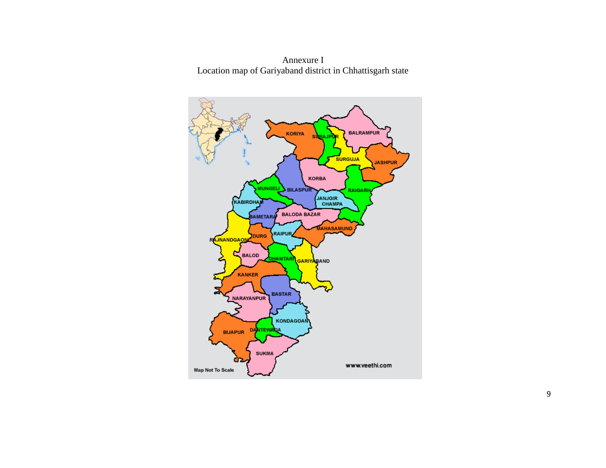

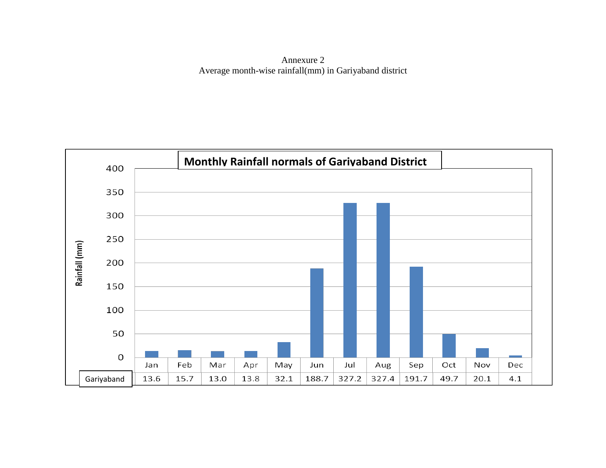Annexure 2 Average month-wise rainfall(mm) in Gariyaband district

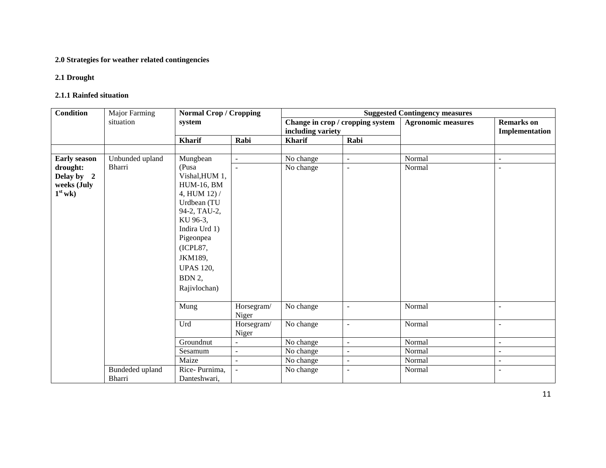## **2.0 Strategies for weather related contingencies**

## **2.1 Drought**

### **2.1.1 Rainfed situation**

| <b>Condition</b> | Major Farming   | <b>Normal Crop / Cropping</b> |                     | <b>Suggested Contingency measures</b> |                                  |                           |                          |  |
|------------------|-----------------|-------------------------------|---------------------|---------------------------------------|----------------------------------|---------------------------|--------------------------|--|
|                  | situation       | system                        |                     |                                       | Change in crop / cropping system | <b>Agronomic measures</b> | <b>Remarks</b> on        |  |
|                  |                 |                               |                     | including variety                     |                                  |                           | Implementation           |  |
|                  |                 | <b>Kharif</b>                 | Rabi                | Kharif                                | Rabi                             |                           |                          |  |
|                  |                 |                               |                     |                                       |                                  |                           |                          |  |
| Early season     | Unbunded upland | Mungbean                      | $\overline{a}$      | No change                             | $\blacksquare$                   | Normal                    | $\sim$                   |  |
| drought:         | Bharri          | (Pusa                         | $\blacksquare$      | No change                             | $\overline{\phantom{a}}$         | Normal                    | $\overline{\phantom{a}}$ |  |
| Delay by 2       |                 | Vishal, HUM 1,                |                     |                                       |                                  |                           |                          |  |
| weeks (July      |                 | <b>HUM-16, BM</b>             |                     |                                       |                                  |                           |                          |  |
| $1st$ wk)        |                 | 4, HUM 12) /                  |                     |                                       |                                  |                           |                          |  |
|                  |                 | Urdbean (TU                   |                     |                                       |                                  |                           |                          |  |
|                  |                 | 94-2, TAU-2,<br>KU 96-3,      |                     |                                       |                                  |                           |                          |  |
|                  |                 | Indira Urd 1)                 |                     |                                       |                                  |                           |                          |  |
|                  |                 | Pigeonpea                     |                     |                                       |                                  |                           |                          |  |
|                  |                 | (ICPL87,                      |                     |                                       |                                  |                           |                          |  |
|                  |                 | JKM189,                       |                     |                                       |                                  |                           |                          |  |
|                  |                 |                               |                     |                                       |                                  |                           |                          |  |
|                  |                 | <b>UPAS 120,</b>              |                     |                                       |                                  |                           |                          |  |
|                  |                 | BDN 2,                        |                     |                                       |                                  |                           |                          |  |
|                  |                 | Rajivlochan)                  |                     |                                       |                                  |                           |                          |  |
|                  |                 |                               |                     |                                       |                                  |                           |                          |  |
|                  |                 | Mung                          | Horsegram/<br>Niger | No change                             | $\sim$                           | Normal                    | $\overline{\phantom{a}}$ |  |
|                  |                 | Urd                           | Horsegram/          | No change                             | $\overline{\phantom{a}}$         | Normal                    | $\sim$                   |  |
|                  |                 |                               | Niger               |                                       |                                  |                           |                          |  |
|                  |                 | Groundnut                     | $\overline{a}$      | No change                             | $\sim$                           | Normal                    | $\overline{\phantom{a}}$ |  |
|                  |                 | Sesamum                       | $\overline{a}$      | No change                             | $\blacksquare$                   | Normal                    | $\blacksquare$           |  |
|                  |                 | Maize                         | $\overline{a}$      | No change                             | $\blacksquare$                   | Normal                    | $\blacksquare$           |  |
|                  | Bundeded upland | Rice-Purnima,                 |                     | No change                             | $\overline{\phantom{a}}$         | Normal                    | $\blacksquare$           |  |
|                  | Bharri          | Danteshwari,                  |                     |                                       |                                  |                           |                          |  |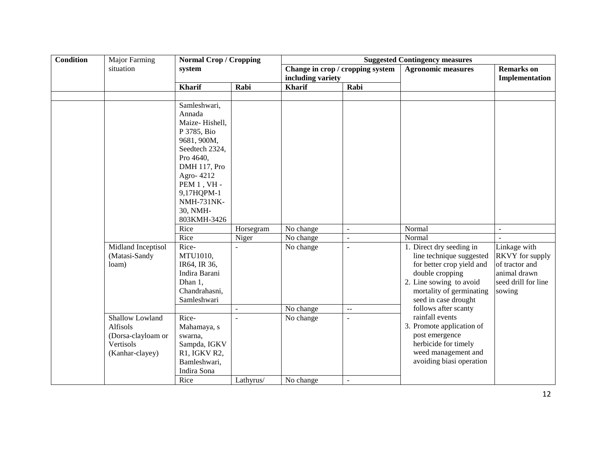| <b>Condition</b> | <b>Major Farming</b> | <b>Normal Crop / Cropping</b> |           | <b>Suggested Contingency measures</b> |                                  |                           |                                     |  |
|------------------|----------------------|-------------------------------|-----------|---------------------------------------|----------------------------------|---------------------------|-------------------------------------|--|
|                  | situation            | system                        |           | including variety                     | Change in crop / cropping system | <b>Agronomic measures</b> | <b>Remarks</b> on<br>Implementation |  |
|                  |                      | <b>Kharif</b>                 | Rabi      | <b>Kharif</b>                         | Rabi                             |                           |                                     |  |
|                  |                      |                               |           |                                       |                                  |                           |                                     |  |
|                  |                      | Samleshwari,                  |           |                                       |                                  |                           |                                     |  |
|                  |                      | Annada                        |           |                                       |                                  |                           |                                     |  |
|                  |                      | Maize-Hishell,                |           |                                       |                                  |                           |                                     |  |
|                  |                      | P 3785, Bio                   |           |                                       |                                  |                           |                                     |  |
|                  |                      | 9681, 900M,                   |           |                                       |                                  |                           |                                     |  |
|                  |                      | Seedtech 2324,                |           |                                       |                                  |                           |                                     |  |
|                  |                      | Pro 4640,                     |           |                                       |                                  |                           |                                     |  |
|                  |                      | DMH 117, Pro                  |           |                                       |                                  |                           |                                     |  |
|                  |                      | Agro-4212                     |           |                                       |                                  |                           |                                     |  |
|                  |                      | PEM $1, VH$ -                 |           |                                       |                                  |                           |                                     |  |
|                  |                      | 9,17HQPM-1                    |           |                                       |                                  |                           |                                     |  |
|                  |                      | <b>NMH-731NK-</b>             |           |                                       |                                  |                           |                                     |  |
|                  |                      | 30, NMH-<br>803KMH-3426       |           |                                       |                                  |                           |                                     |  |
|                  |                      | Rice                          | Horsegram | No change                             | $\overline{a}$                   | Normal                    |                                     |  |
|                  |                      | Rice                          | Niger     | No change                             | ÷,                               | Normal                    |                                     |  |
|                  | Midland Inceptisol   | Rice-                         |           | No change                             |                                  | 1. Direct dry seeding in  | Linkage with                        |  |
|                  | (Matasi-Sandy        | MTU1010,                      |           |                                       |                                  | line technique suggested  | RKVY for supply                     |  |
|                  | loam)                | IR64, IR 36,                  |           |                                       |                                  | for better crop yield and | of tractor and                      |  |
|                  |                      | Indira Barani                 |           |                                       |                                  | double cropping           | animal drawn                        |  |
|                  |                      | Dhan 1,                       |           |                                       |                                  | 2. Line sowing to avoid   | seed drill for line                 |  |
|                  |                      | Chandrahasni,                 |           |                                       |                                  | mortality of germinating  | sowing                              |  |
|                  |                      | Samleshwari                   |           |                                       |                                  | seed in case drought      |                                     |  |
|                  |                      |                               |           | No change                             | $\overline{a}$                   | follows after scanty      |                                     |  |
|                  | Shallow Lowland      | Rice-                         |           | No change                             |                                  | rainfall events           |                                     |  |
|                  | Alfisols             | Mahamaya, s                   |           |                                       |                                  | 3. Promote application of |                                     |  |
|                  | (Dorsa-clayloam or   | swarna,                       |           |                                       |                                  | post emergence            |                                     |  |
|                  | Vertisols            | Sampda, IGKV                  |           |                                       |                                  | herbicide for timely      |                                     |  |
|                  | (Kanhar-clayey)      | R1, IGKV R2,                  |           |                                       |                                  | weed management and       |                                     |  |
|                  |                      | Bamleshwari,                  |           |                                       |                                  | avoiding biasi operation  |                                     |  |
|                  |                      | Indira Sona                   |           |                                       |                                  |                           |                                     |  |
|                  |                      | Rice                          | Lathyrus/ | No change                             | $\overline{a}$                   |                           |                                     |  |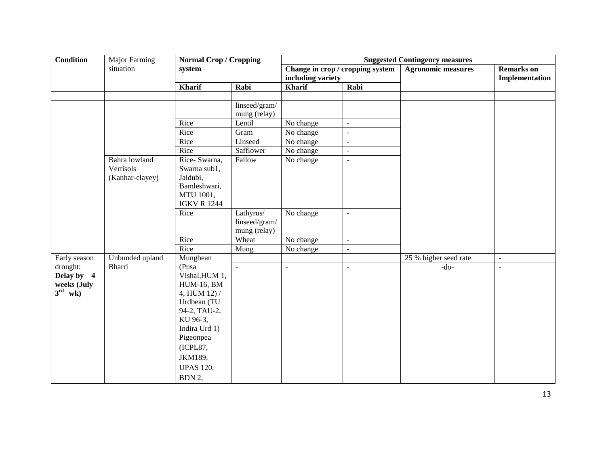| <b>Condition</b>    | <b>Major Farming</b> | <b>Normal Crop / Cropping</b> |                | <b>Suggested Contingency measures</b> |                                  |                           |                          |  |  |
|---------------------|----------------------|-------------------------------|----------------|---------------------------------------|----------------------------------|---------------------------|--------------------------|--|--|
|                     | situation            | system                        |                |                                       | Change in crop / cropping system | <b>Agronomic measures</b> | <b>Remarks</b> on        |  |  |
|                     |                      |                               |                | including variety                     |                                  |                           | Implementation           |  |  |
|                     |                      | <b>Kharif</b>                 | Rabi           | <b>Kharif</b>                         | Rabi                             |                           |                          |  |  |
|                     |                      |                               |                |                                       |                                  |                           |                          |  |  |
|                     |                      |                               | linseed/gram/  |                                       |                                  |                           |                          |  |  |
|                     |                      |                               | mung (relay)   |                                       |                                  |                           |                          |  |  |
|                     |                      | Rice                          | Lentil         | No change                             | $\mathbb{Z}^2$                   |                           |                          |  |  |
|                     |                      | $\overline{R}$ ice            | Gram           | No change                             | $\blacksquare$                   |                           |                          |  |  |
|                     |                      | Rice                          | Linseed        | No change                             | $\mathbb{Z}^2$                   |                           |                          |  |  |
|                     |                      | Rice                          | Safflower      | No change                             | $\mathbb{Z}^2$                   |                           |                          |  |  |
|                     | Bahra lowland        | Rice-Swarna,                  | Fallow         | No change                             | $\blacksquare$                   |                           |                          |  |  |
|                     | Vertisols            | Swarna sub1,                  |                |                                       |                                  |                           |                          |  |  |
|                     | (Kanhar-clayey)      | Jaldubi,                      |                |                                       |                                  |                           |                          |  |  |
|                     |                      | Bamleshwari,<br>MTU 1001,     |                |                                       |                                  |                           |                          |  |  |
|                     |                      | <b>IGKV R 1244</b>            |                |                                       |                                  |                           |                          |  |  |
|                     |                      | Rice                          | Lathyrus/      | No change                             | $\overline{\phantom{a}}$         |                           |                          |  |  |
|                     |                      |                               | linseed/gram/  |                                       |                                  |                           |                          |  |  |
|                     |                      |                               | mung (relay)   |                                       |                                  |                           |                          |  |  |
|                     |                      | Rice                          | Wheat          | No change                             | $\omega$                         |                           |                          |  |  |
|                     |                      | Rice                          | Mung           | No change                             | $\blacksquare$                   |                           |                          |  |  |
| Early season        | Unbunded upland      | Mungbean                      |                |                                       |                                  | 25 % higher seed rate     | $\overline{\phantom{a}}$ |  |  |
| drought:            | <b>Bharri</b>        | (Pusa                         | $\overline{a}$ | $\equiv$                              | $\blacksquare$                   | $-do-$                    | $\overline{\phantom{a}}$ |  |  |
| Delay by 4          |                      | Vishal, HUM 1,                |                |                                       |                                  |                           |                          |  |  |
| weeks (July         |                      | <b>HUM-16, BM</b>             |                |                                       |                                  |                           |                          |  |  |
| $3^{\text{rd}}$ wk) |                      | 4, HUM 12) /                  |                |                                       |                                  |                           |                          |  |  |
|                     |                      | Urdbean (TU                   |                |                                       |                                  |                           |                          |  |  |
|                     |                      | 94-2, TAU-2,                  |                |                                       |                                  |                           |                          |  |  |
|                     |                      | KU 96-3,                      |                |                                       |                                  |                           |                          |  |  |
|                     |                      | Indira Urd 1)                 |                |                                       |                                  |                           |                          |  |  |
|                     |                      | Pigeonpea                     |                |                                       |                                  |                           |                          |  |  |
|                     |                      | (ICPL87,                      |                |                                       |                                  |                           |                          |  |  |
|                     |                      | JKM189,                       |                |                                       |                                  |                           |                          |  |  |
|                     |                      | <b>UPAS 120,</b>              |                |                                       |                                  |                           |                          |  |  |
|                     |                      | BDN 2,                        |                |                                       |                                  |                           |                          |  |  |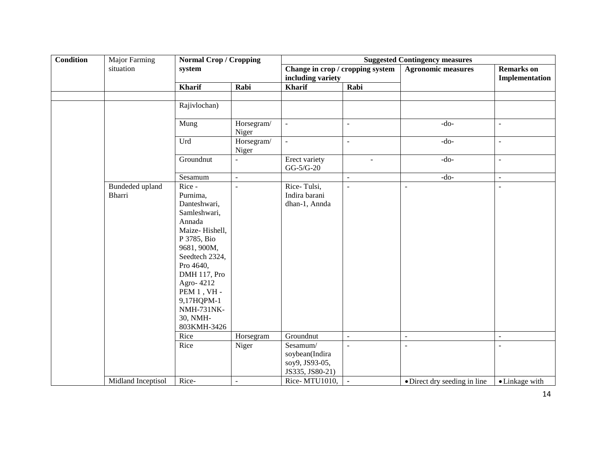| <b>Condition</b> | <b>Major Farming</b>             | <b>Normal Crop / Cropping</b>                                                                                                                                                                                                                           |                     | <b>Suggested Contingency measures</b>                                        |                                  |                                       |                                     |  |
|------------------|----------------------------------|---------------------------------------------------------------------------------------------------------------------------------------------------------------------------------------------------------------------------------------------------------|---------------------|------------------------------------------------------------------------------|----------------------------------|---------------------------------------|-------------------------------------|--|
|                  | situation                        | system                                                                                                                                                                                                                                                  |                     | Change in crop / cropping system<br>including variety                        |                                  | <b>Agronomic measures</b>             | <b>Remarks</b> on<br>Implementation |  |
|                  |                                  | <b>Kharif</b>                                                                                                                                                                                                                                           | Rabi                | <b>Kharif</b>                                                                | Rabi                             |                                       |                                     |  |
|                  |                                  |                                                                                                                                                                                                                                                         |                     |                                                                              |                                  |                                       |                                     |  |
|                  |                                  | Rajivlochan)                                                                                                                                                                                                                                            |                     |                                                                              |                                  |                                       |                                     |  |
|                  |                                  | Mung                                                                                                                                                                                                                                                    | Horsegram/<br>Niger | $\mathcal{L}$                                                                | $\overline{\phantom{a}}$         | $-do-$                                | $\mathbb{L}$                        |  |
|                  |                                  | Urd                                                                                                                                                                                                                                                     | Horsegram/<br>Niger | $\equiv$                                                                     | $\equiv$                         | $-do-$                                | $\overline{\phantom{a}}$            |  |
|                  |                                  | Groundnut                                                                                                                                                                                                                                               | $\overline{a}$      | Erect variety<br>$GG-5/G-20$                                                 | $\overline{a}$                   | $-do-$                                | $\overline{a}$                      |  |
|                  |                                  | Sesamum                                                                                                                                                                                                                                                 | $\bar{\phantom{a}}$ |                                                                              | $\bar{\phantom{a}}$              | $-do-$                                | $\overline{\phantom{a}}$            |  |
|                  | <b>Bundeded</b> upland<br>Bharri | Rice -<br>Purnima,<br>Danteshwari,<br>Samleshwari,<br>Annada<br>Maize-Hishell,<br>P 3785, Bio<br>9681, 900M,<br>Seedtech 2324,<br>Pro 4640,<br>DMH 117, Pro<br>Agro-4212<br>PEM $1, VH -$<br>9,17HQPM-1<br><b>NMH-731NK-</b><br>30, NMH-<br>803KMH-3426 | $\overline{a}$      | Rice-Tulsi,<br>Indira barani<br>dhan-1, Annda                                | $\sim$                           | $\overline{a}$                        | $\sim$                              |  |
|                  |                                  | Rice<br>Rice                                                                                                                                                                                                                                            | Horsegram<br>Niger  | Groundnut<br>Sesamum/<br>soybean(Indira<br>soy9, JS93-05,<br>JS335, JS80-21) | $\mathbb{Z}^2$<br>$\overline{a}$ | $\bar{\phantom{a}}$<br>$\overline{a}$ | $\bar{\phantom{a}}$                 |  |
|                  | Midland Inceptisol               | Rice-                                                                                                                                                                                                                                                   | ÷.                  | Rice-MTU1010,                                                                | $\blacksquare$                   | • Direct dry seeding in line          | • Linkage with                      |  |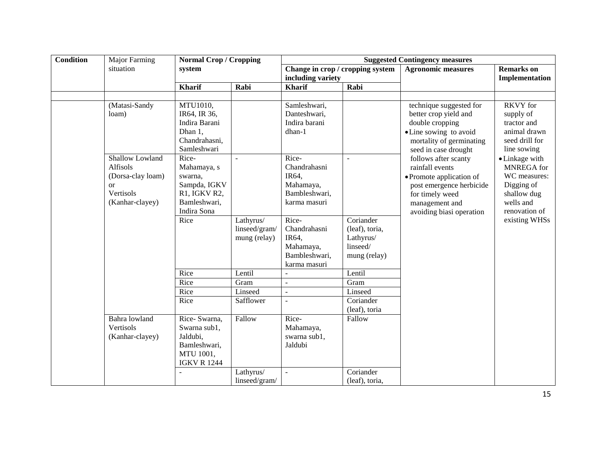| <b>Condition</b> | Major Farming                                                                                 | <b>Normal Crop / Cropping</b>                                                                          |                                            | <b>Suggested Contingency measures</b>                                                 |                                                         |                                                                                                                                                                  |                                                                                                                                                                                                                |  |
|------------------|-----------------------------------------------------------------------------------------------|--------------------------------------------------------------------------------------------------------|--------------------------------------------|---------------------------------------------------------------------------------------|---------------------------------------------------------|------------------------------------------------------------------------------------------------------------------------------------------------------------------|----------------------------------------------------------------------------------------------------------------------------------------------------------------------------------------------------------------|--|
|                  | situation                                                                                     | system                                                                                                 |                                            | Change in crop / cropping system<br>including variety                                 |                                                         | <b>Agronomic measures</b>                                                                                                                                        | <b>Remarks</b> on<br>Implementation                                                                                                                                                                            |  |
|                  |                                                                                               | <b>Kharif</b>                                                                                          | Rabi                                       | <b>Kharif</b>                                                                         | Rabi                                                    |                                                                                                                                                                  |                                                                                                                                                                                                                |  |
|                  |                                                                                               |                                                                                                        |                                            |                                                                                       |                                                         |                                                                                                                                                                  |                                                                                                                                                                                                                |  |
|                  | (Matasi-Sandy<br>loam)                                                                        | MTU1010,<br>IR64, IR 36,<br>Indira Barani<br>Dhan 1,<br>Chandrahasni,<br>Samleshwari                   |                                            | Samleshwari,<br>Danteshwari,<br>Indira barani<br>dhan-1                               |                                                         | technique suggested for<br>better crop yield and<br>double cropping<br>• Line sowing to avoid<br>mortality of germinating<br>seed in case drought                | <b>RKVY</b> for<br>supply of<br>tractor and<br>animal drawn<br>seed drill for<br>line sowing<br>• Linkage with<br><b>MNREGA</b> for<br>WC measures:<br>Digging of<br>shallow dug<br>wells and<br>renovation of |  |
|                  | Shallow Lowland<br>Alfisols<br>(Dorsa-clay loam)<br><b>or</b><br>Vertisols<br>(Kanhar-clayey) | Rice-<br>Mahamaya, s<br>swarna,<br>Sampda, IGKV<br>R1, IGKV R2,<br>Bamleshwari,<br>Indira Sona<br>Rice | $\sim$                                     | Rice-<br>Chandrahasni<br>IR64,<br>Mahamaya,<br>Bambleshwari,<br>karma masuri<br>Rice- | $\sim$<br>Coriander                                     | follows after scanty<br>rainfall events<br>• Promote application of<br>post emergence herbicide<br>for timely weed<br>management and<br>avoiding biasi operation |                                                                                                                                                                                                                |  |
|                  |                                                                                               |                                                                                                        | Lathyrus/<br>linseed/gram/<br>mung (relay) | Chandrahasni<br>IR64,<br>Mahamaya,<br>Bambleshwari,<br>karma masuri                   | (leaf), toria,<br>Lathyrus/<br>linseed/<br>mung (relay) |                                                                                                                                                                  | existing WHSs                                                                                                                                                                                                  |  |
|                  |                                                                                               | Rice                                                                                                   | Lentil                                     |                                                                                       | Lentil                                                  |                                                                                                                                                                  |                                                                                                                                                                                                                |  |
|                  |                                                                                               | Rice                                                                                                   | Gram                                       |                                                                                       | Gram                                                    |                                                                                                                                                                  |                                                                                                                                                                                                                |  |
|                  |                                                                                               | Rice                                                                                                   | Linseed                                    | $\omega$                                                                              | Linseed                                                 |                                                                                                                                                                  |                                                                                                                                                                                                                |  |
|                  |                                                                                               | Rice                                                                                                   | Safflower                                  |                                                                                       | Coriander<br>(leaf), toria                              |                                                                                                                                                                  |                                                                                                                                                                                                                |  |
|                  | Bahra lowland<br>Vertisols<br>(Kanhar-clayey)                                                 | Rice-Swarna,<br>Swarna sub1,<br>Jaldubi,<br>Bamleshwari,<br>MTU 1001,<br><b>IGKV R 1244</b>            | Fallow<br>Lathyrus/                        | Rice-<br>Mahamaya,<br>swarna sub1,<br>Jaldubi<br>$\blacksquare$                       | Fallow<br>Coriander                                     |                                                                                                                                                                  |                                                                                                                                                                                                                |  |
|                  |                                                                                               |                                                                                                        | linseed/gram/                              |                                                                                       | (leaf), toria,                                          |                                                                                                                                                                  |                                                                                                                                                                                                                |  |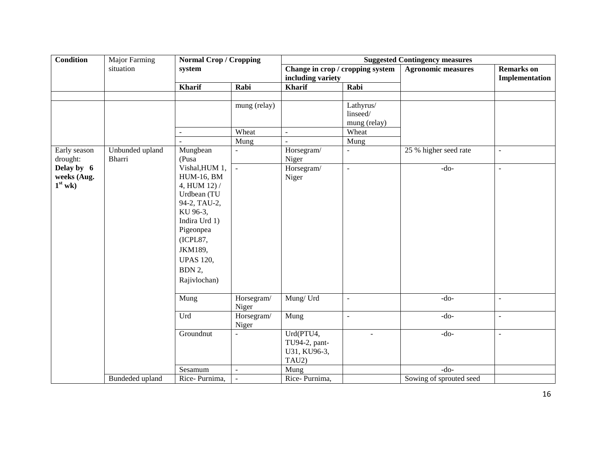| <b>Condition</b>         | Major Farming                    | <b>Normal Crop / Cropping</b> |                     | <b>Suggested Contingency measures</b> |                                  |                           |                                     |  |
|--------------------------|----------------------------------|-------------------------------|---------------------|---------------------------------------|----------------------------------|---------------------------|-------------------------------------|--|
|                          | situation                        | system                        |                     | including variety                     | Change in crop / cropping system | <b>Agronomic measures</b> | <b>Remarks</b> on<br>Implementation |  |
|                          |                                  | <b>Kharif</b>                 | Rabi                | <b>Kharif</b>                         | Rabi                             |                           |                                     |  |
|                          |                                  |                               |                     |                                       |                                  |                           |                                     |  |
|                          |                                  |                               | mung (relay)        |                                       | Lathyrus/                        |                           |                                     |  |
|                          |                                  |                               |                     |                                       | linseed/                         |                           |                                     |  |
|                          |                                  |                               |                     |                                       | mung (relay)                     |                           |                                     |  |
|                          |                                  | L.                            | Wheat               | $\blacksquare$                        | Wheat                            |                           |                                     |  |
|                          |                                  |                               | Mung                |                                       | Mung                             |                           |                                     |  |
| Early season<br>drought: | Unbunded upland<br><b>Bharri</b> | Mungbean<br>(Pusa             |                     | Horsegram/<br>Niger                   | $\overline{\phantom{a}}$         | 25 % higher seed rate     | $\blacksquare$                      |  |
| Delay by 6               |                                  | Vishal, HUM 1,                | $\blacksquare$      | Horsegram/                            | $\blacksquare$                   | $-do-$                    | $\blacksquare$                      |  |
| weeks (Aug.              |                                  | <b>HUM-16, BM</b>             |                     | Niger                                 |                                  |                           |                                     |  |
| $1st$ wk)                |                                  | 4, HUM 12) /                  |                     |                                       |                                  |                           |                                     |  |
|                          |                                  | Urdbean (TU                   |                     |                                       |                                  |                           |                                     |  |
|                          |                                  | 94-2, TAU-2,                  |                     |                                       |                                  |                           |                                     |  |
|                          |                                  | KU 96-3,                      |                     |                                       |                                  |                           |                                     |  |
|                          |                                  | Indira Urd 1)                 |                     |                                       |                                  |                           |                                     |  |
|                          |                                  | Pigeonpea                     |                     |                                       |                                  |                           |                                     |  |
|                          |                                  | (ICPL87,                      |                     |                                       |                                  |                           |                                     |  |
|                          |                                  | JKM189,                       |                     |                                       |                                  |                           |                                     |  |
|                          |                                  | <b>UPAS 120,</b>              |                     |                                       |                                  |                           |                                     |  |
|                          |                                  | BDN 2,                        |                     |                                       |                                  |                           |                                     |  |
|                          |                                  | Rajivlochan)                  |                     |                                       |                                  |                           |                                     |  |
|                          |                                  |                               |                     |                                       |                                  |                           |                                     |  |
|                          |                                  | Mung                          | Horsegram/          | Mung/Urd                              | $\bar{\mathcal{L}}$              | $-do-$                    | $\mathbb{Z}^2$                      |  |
|                          |                                  |                               | Niger               |                                       |                                  |                           |                                     |  |
|                          |                                  | Urd                           | Horsegram/<br>Niger | Mung                                  | $\bar{\mathcal{L}}$              | $-do-$                    | $\sim$                              |  |
|                          |                                  | Groundnut                     | $\overline{a}$      | Urd(PTU4,                             | $\overline{\phantom{a}}$         | $-do-$                    | $\mathbb{Z}^2$                      |  |
|                          |                                  |                               |                     | TU94-2, pant-                         |                                  |                           |                                     |  |
|                          |                                  |                               |                     | U31, KU96-3,                          |                                  |                           |                                     |  |
|                          |                                  |                               |                     | TAU2)                                 |                                  |                           |                                     |  |
|                          |                                  | Sesamum                       | $\sim$              | Mung                                  |                                  | $-do-$                    |                                     |  |
|                          | Bundeded upland                  | Rice-Purnima,                 |                     | Rice-Purnima,                         |                                  | Sowing of sprouted seed   |                                     |  |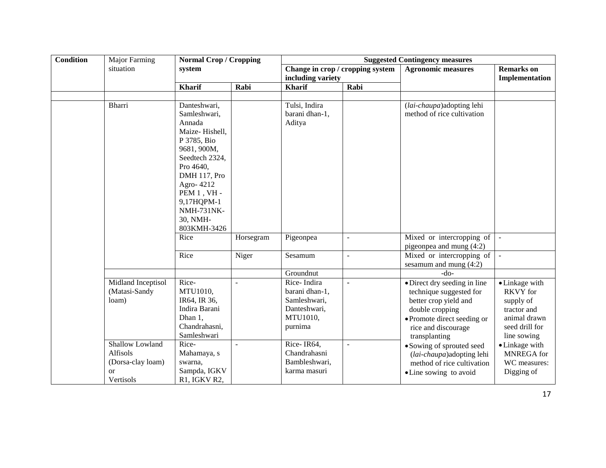| <b>Condition</b> | Major Farming                                                              | <b>Normal Crop / Cropping</b>                                                                                                                                                                                                         |                | <b>Suggested Contingency measures</b>                                                |                |                                                                                                                                                                            |                                                                                                                |  |
|------------------|----------------------------------------------------------------------------|---------------------------------------------------------------------------------------------------------------------------------------------------------------------------------------------------------------------------------------|----------------|--------------------------------------------------------------------------------------|----------------|----------------------------------------------------------------------------------------------------------------------------------------------------------------------------|----------------------------------------------------------------------------------------------------------------|--|
|                  | situation                                                                  | system                                                                                                                                                                                                                                |                | Change in crop / cropping system<br>including variety                                |                | <b>Agronomic measures</b>                                                                                                                                                  | <b>Remarks</b> on<br><b>Implementation</b>                                                                     |  |
|                  |                                                                            | <b>Kharif</b>                                                                                                                                                                                                                         | Rabi           | <b>Kharif</b>                                                                        | Rabi           |                                                                                                                                                                            |                                                                                                                |  |
|                  |                                                                            |                                                                                                                                                                                                                                       |                |                                                                                      |                |                                                                                                                                                                            |                                                                                                                |  |
|                  | <b>Bharri</b>                                                              | Danteshwari,<br>Samleshwari,<br>Annada<br>Maize-Hishell,<br>P 3785, Bio<br>9681, 900M,<br>Seedtech 2324,<br>Pro 4640,<br>DMH 117, Pro<br>Agro-4212<br><b>PEM 1, VH-</b><br>9,17HQPM-1<br><b>NMH-731NK-</b><br>30, NMH-<br>803KMH-3426 |                | Tulsi, Indira<br>barani dhan-1,<br>Aditya                                            |                | (lai-chaupa) adopting lehi<br>method of rice cultivation                                                                                                                   |                                                                                                                |  |
|                  |                                                                            | Rice                                                                                                                                                                                                                                  | Horsegram      | Pigeonpea                                                                            | $\overline{a}$ | Mixed or intercropping of<br>pigeonpea and mung (4:2)                                                                                                                      |                                                                                                                |  |
|                  |                                                                            | Rice                                                                                                                                                                                                                                  | Niger          | Sesamum                                                                              | $\overline{a}$ | Mixed or intercropping of<br>sesamum and mung $(4:2)$                                                                                                                      |                                                                                                                |  |
|                  |                                                                            |                                                                                                                                                                                                                                       |                | Groundnut                                                                            |                | $-do-$                                                                                                                                                                     |                                                                                                                |  |
|                  | Midland Inceptisol<br>(Matasi-Sandy<br>loam)                               | Rice-<br>MTU1010,<br>IR64, IR 36,<br>Indira Barani<br>Dhan 1,<br>Chandrahasni,<br>Samleshwari                                                                                                                                         |                | Rice-Indira<br>barani dhan-1,<br>Samleshwari,<br>Danteshwari,<br>MTU1010,<br>purnima |                | · Direct dry seeding in line<br>technique suggested for<br>better crop yield and<br>double cropping<br>• Promote direct seeding or<br>rice and discourage<br>transplanting | • Linkage with<br><b>RKVY</b> for<br>supply of<br>tractor and<br>animal drawn<br>seed drill for<br>line sowing |  |
|                  | Shallow Lowland<br>Alfisols<br>(Dorsa-clay loam)<br><b>or</b><br>Vertisols | Rice-<br>Mahamaya, s<br>swarna.<br>Sampda, IGKV<br>R1, IGKV R2,                                                                                                                                                                       | $\overline{a}$ | Rice-IR64,<br>Chandrahasni<br>Bambleshwari,<br>karma masuri                          |                | • Sowing of sprouted seed<br>(lai-chaupa) adopting lehi<br>method of rice cultivation<br>• Line sowing to avoid                                                            | • Linkage with<br>MNREGA for<br>WC measures:<br>Digging of                                                     |  |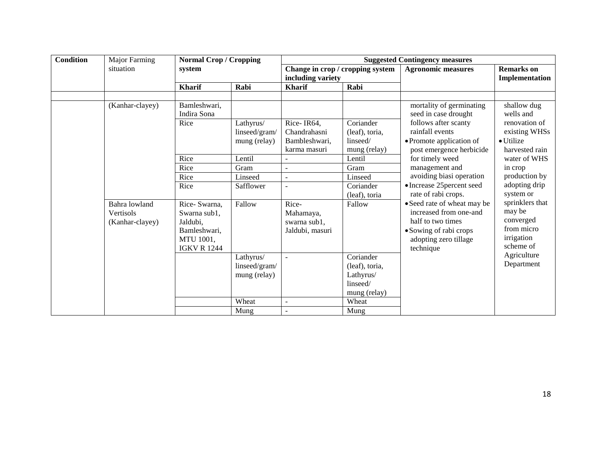| <b>Condition</b> | Major Farming                                 | <b>Normal Crop / Cropping</b>                                                               |                                                             | <b>Suggested Contingency measures</b>                 |                                                                                       |                                                                                                                                            |                                                                                                   |  |
|------------------|-----------------------------------------------|---------------------------------------------------------------------------------------------|-------------------------------------------------------------|-------------------------------------------------------|---------------------------------------------------------------------------------------|--------------------------------------------------------------------------------------------------------------------------------------------|---------------------------------------------------------------------------------------------------|--|
|                  | situation                                     | system                                                                                      |                                                             |                                                       | Change in crop / cropping system                                                      | <b>Agronomic measures</b>                                                                                                                  | <b>Remarks</b> on                                                                                 |  |
|                  |                                               |                                                                                             |                                                             | including variety                                     |                                                                                       |                                                                                                                                            | Implementation                                                                                    |  |
|                  |                                               | <b>Kharif</b>                                                                               | Rabi                                                        | <b>Kharif</b>                                         | Rabi                                                                                  |                                                                                                                                            |                                                                                                   |  |
|                  | (Kanhar-clayey)                               | Bamleshwari,<br>Indira Sona<br>Rice                                                         | Lathyrus/<br>linseed/gram/<br>mung (relay)                  | Rice-IR64,<br>Chandrahasni<br>Bambleshwari,           | Coriander<br>(leaf), toria,<br>linseed/                                               | mortality of germinating<br>seed in case drought<br>follows after scanty<br>rainfall events<br>• Promote application of                    | shallow dug<br>wells and<br>renovation of<br>existing WHSs<br>$\bullet$ Utilize<br>harvested rain |  |
|                  |                                               | Rice                                                                                        | Lentil                                                      | karma masuri                                          | mung (relay)<br>Lentil                                                                | post emergence herbicide<br>for timely weed                                                                                                | water of WHS                                                                                      |  |
|                  |                                               | Rice                                                                                        | Gram                                                        |                                                       | Gram                                                                                  | management and                                                                                                                             | in crop                                                                                           |  |
|                  |                                               | Rice                                                                                        | Linseed                                                     |                                                       | Linseed                                                                               | avoiding biasi operation                                                                                                                   | production by                                                                                     |  |
|                  |                                               | Rice                                                                                        | Safflower                                                   |                                                       | Coriander<br>(leaf), toria                                                            | • Increase 25 percent seed<br>rate of rabi crops.                                                                                          | adopting drip<br>system or                                                                        |  |
|                  | Bahra lowland<br>Vertisols<br>(Kanhar-clayey) | Rice-Swarna,<br>Swarna sub1,<br>Jaldubi.<br>Bamleshwari,<br>MTU 1001,<br><b>IGKV R 1244</b> | Fallow                                                      | Rice-<br>Mahamaya,<br>swarna sub1,<br>Jaldubi, masuri | Fallow                                                                                | • Seed rate of wheat may be<br>increased from one-and<br>half to two times<br>• Sowing of rabi crops<br>adopting zero tillage<br>technique | sprinklers that<br>may be<br>converged<br>from micro<br>irrigation<br>scheme of                   |  |
|                  |                                               |                                                                                             | Lathyrus/<br>linseed/gram/<br>mung (relay)<br>Wheat<br>Mung | $\overline{a}$<br>$\overline{a}$                      | Coriander<br>(leaf), toria,<br>Lathyrus/<br>linseed/<br>mung (relay)<br>Wheat<br>Mung |                                                                                                                                            | Agriculture<br>Department                                                                         |  |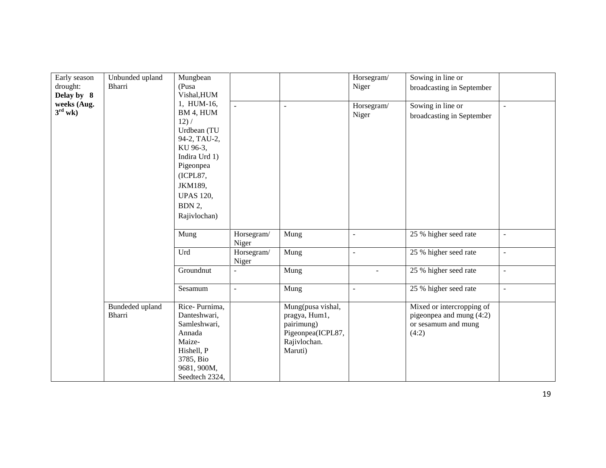| Early season        | Unbunded upland | Mungbean         |                |                   | Horsegram/               | Sowing in line or         |                          |
|---------------------|-----------------|------------------|----------------|-------------------|--------------------------|---------------------------|--------------------------|
| drought:            | Bharri          | (Pusa            |                |                   | Niger                    |                           |                          |
| Delay by 8          |                 | Vishal, HUM      |                |                   |                          | broadcasting in September |                          |
|                     |                 | 1, HUM-16,       |                |                   |                          |                           |                          |
| weeks (Aug.         |                 |                  | $\sim$         | $\sim$            | Horsegram/               | Sowing in line or         | L.                       |
| $3^{\text{rd}}$ wk) |                 | BM 4, HUM        |                |                   | Niger                    | broadcasting in September |                          |
|                     |                 | 12) /            |                |                   |                          |                           |                          |
|                     |                 | Urdbean (TU      |                |                   |                          |                           |                          |
|                     |                 | 94-2, TAU-2,     |                |                   |                          |                           |                          |
|                     |                 | KU 96-3,         |                |                   |                          |                           |                          |
|                     |                 | Indira Urd 1)    |                |                   |                          |                           |                          |
|                     |                 | Pigeonpea        |                |                   |                          |                           |                          |
|                     |                 | (ICPL87,         |                |                   |                          |                           |                          |
|                     |                 | JKM189,          |                |                   |                          |                           |                          |
|                     |                 | <b>UPAS 120,</b> |                |                   |                          |                           |                          |
|                     |                 |                  |                |                   |                          |                           |                          |
|                     |                 | BDN 2,           |                |                   |                          |                           |                          |
|                     |                 | Rajivlochan)     |                |                   |                          |                           |                          |
|                     |                 |                  |                |                   |                          |                           |                          |
|                     |                 | Mung             | Horsegram/     | Mung              | $\overline{\phantom{a}}$ | 25 % higher seed rate     | $\blacksquare$           |
|                     |                 |                  | Niger          |                   |                          |                           |                          |
|                     |                 | Urd              | Horsegram/     | Mung              |                          | 25 % higher seed rate     | $\overline{\phantom{a}}$ |
|                     |                 |                  | Niger          |                   |                          |                           |                          |
|                     |                 | Groundnut        | ÷,             | Mung              |                          | 25 % higher seed rate     | $\overline{\phantom{a}}$ |
|                     |                 |                  |                |                   |                          |                           |                          |
|                     |                 | Sesamum          | $\overline{a}$ | Mung              | $\blacksquare$           | 25 % higher seed rate     | $\blacksquare$           |
|                     |                 |                  |                |                   |                          |                           |                          |
|                     | Bundeded upland | Rice-Purnima,    |                | Mung(pusa vishal, |                          | Mixed or intercropping of |                          |
|                     | Bharri          | Danteshwari,     |                | pragya, Hum1,     |                          | pigeonpea and mung (4:2)  |                          |
|                     |                 | Samleshwari,     |                | pairimung)        |                          | or sesamum and mung       |                          |
|                     |                 | Annada           |                | Pigeonpea(ICPL87, |                          | (4:2)                     |                          |
|                     |                 | Maize-           |                | Rajivlochan.      |                          |                           |                          |
|                     |                 |                  |                |                   |                          |                           |                          |
|                     |                 | Hishell, P       |                | Maruti)           |                          |                           |                          |
|                     |                 | 3785, Bio        |                |                   |                          |                           |                          |
|                     |                 | 9681, 900M,      |                |                   |                          |                           |                          |
|                     |                 | Seedtech 2324,   |                |                   |                          |                           |                          |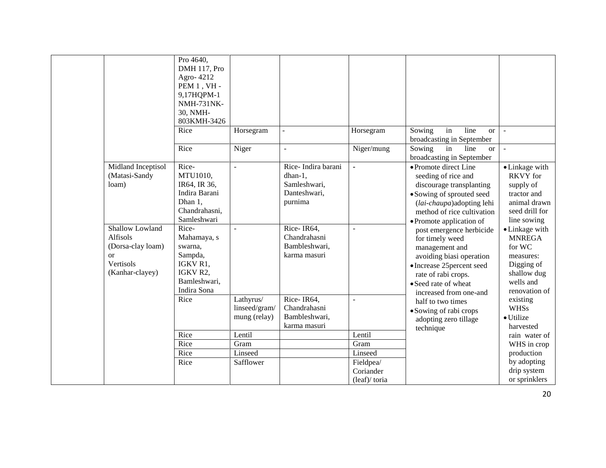|                                                                                                   | Pro 4640,<br>DMH 117, Pro<br>Agro-4212<br>PEM 1, VH -<br>9,17HQPM-1<br><b>NMH-731NK-</b><br>30, NMH-<br>803KMH-3426 |                                            |                                                                          |                        |                                                                                                                                                                                                                              |                                                                                                                   |
|---------------------------------------------------------------------------------------------------|---------------------------------------------------------------------------------------------------------------------|--------------------------------------------|--------------------------------------------------------------------------|------------------------|------------------------------------------------------------------------------------------------------------------------------------------------------------------------------------------------------------------------------|-------------------------------------------------------------------------------------------------------------------|
|                                                                                                   | Rice                                                                                                                | Horsegram                                  |                                                                          | Horsegram              | Sowing<br>in<br>line<br><sub>or</sub><br>broadcasting in September                                                                                                                                                           | $\equiv$                                                                                                          |
|                                                                                                   | Rice                                                                                                                | Niger                                      | $\overline{a}$                                                           | Niger/mung             | Sowing<br>line<br>in<br>$\alpha$<br>broadcasting in September                                                                                                                                                                | $\overline{\phantom{a}}$                                                                                          |
| Midland Inceptisol<br>(Matasi-Sandy<br>loam)                                                      | Rice-<br>MTU1010,<br>IR64, IR 36,<br>Indira Barani<br>Dhan 1,<br>Chandrahasni,<br>Samleshwari                       |                                            | Rice-Indira barani<br>dhan-1,<br>Samleshwari,<br>Danteshwari,<br>purnima |                        | • Promote direct Line<br>seeding of rice and<br>discourage transplanting<br>• Sowing of sprouted seed<br>(lai-chaupa)adopting lehi<br>method of rice cultivation                                                             | • Linkage with<br><b>RKVY</b> for<br>supply of<br>tractor and<br>animal drawn<br>seed drill for<br>line sowing    |
| Shallow Lowland<br>Alfisols<br>(Dorsa-clay loam)<br><sub>or</sub><br>Vertisols<br>(Kanhar-clayey) | Rice-<br>Mahamaya, s<br>swarna.<br>Sampda,<br>IGKV R1,<br>IGKV R2,<br>Bamleshwari,<br>Indira Sona                   |                                            | Rice-IR64,<br>Chandrahasni<br>Bambleshwari,<br>karma masuri              |                        | • Promote application of<br>post emergence herbicide<br>for timely weed<br>management and<br>avoiding biasi operation<br>• Increase 25 percent seed<br>rate of rabi crops.<br>• Seed rate of wheat<br>increased from one-and | • Linkage with<br><b>MNREGA</b><br>for WC<br>measures:<br>Digging of<br>shallow dug<br>wells and<br>renovation of |
|                                                                                                   | Rice                                                                                                                | Lathyrus/<br>linseed/gram/<br>mung (relay) | Rice-IR64,<br>Chandrahasni<br>Bambleshwari,<br>karma masuri              |                        | half to two times<br>• Sowing of rabi crops<br>adopting zero tillage<br>technique                                                                                                                                            | existing<br><b>WHSs</b><br>· Utilize<br>harvested                                                                 |
|                                                                                                   | Rice                                                                                                                | Lentil                                     |                                                                          | Lentil                 |                                                                                                                                                                                                                              | rain water of                                                                                                     |
|                                                                                                   | Rice                                                                                                                | Gram                                       |                                                                          | Gram                   |                                                                                                                                                                                                                              | WHS in crop                                                                                                       |
|                                                                                                   | Rice                                                                                                                | Linseed                                    |                                                                          | Linseed                |                                                                                                                                                                                                                              | production                                                                                                        |
|                                                                                                   | Rice                                                                                                                | Safflower                                  |                                                                          | Fieldpea/<br>Coriander |                                                                                                                                                                                                                              | by adopting<br>drip system                                                                                        |
|                                                                                                   |                                                                                                                     |                                            |                                                                          | (leaf)/toria           |                                                                                                                                                                                                                              | or sprinklers                                                                                                     |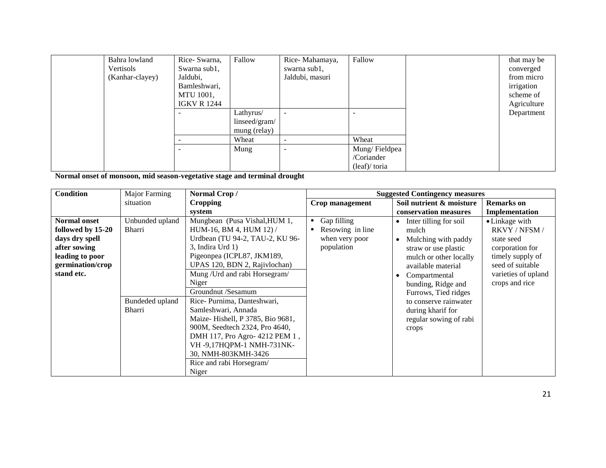| Bahra lowland   | Rice-Swarna,       | Fallow        | Rice-Mahamaya,           | Fallow          | that may be |
|-----------------|--------------------|---------------|--------------------------|-----------------|-------------|
| Vertisols       | Swarna sub1,       |               | swarna sub1,             |                 | converged   |
| (Kanhar-clayey) | Jaldubi,           |               | Jaldubi, masuri          |                 | from micro  |
|                 | Bamleshwari,       |               |                          |                 | irrigation  |
|                 | MTU 1001,          |               |                          |                 | scheme of   |
|                 | <b>IGKV R 1244</b> |               |                          |                 | Agriculture |
|                 |                    | Lathyrus/     | $\overline{\phantom{0}}$ |                 | Department  |
|                 |                    | linseed/gram/ |                          |                 |             |
|                 |                    | mung (relay)  |                          |                 |             |
|                 |                    | Wheat         | $\overline{\phantom{a}}$ | Wheat           |             |
|                 |                    | Mung          | $\overline{\phantom{a}}$ | Mung/Fieldpea   |             |
|                 |                    |               |                          | /Coriander      |             |
|                 |                    |               |                          | $(leaf)/$ toria |             |

**Normal onset of monsoon, mid season-vegetative stage and terminal drought**

| <b>Condition</b>                                                                                                                | Major Farming                                          | Normal Crop/                                                                                                                                                                                                                                                                                                                                                                  |                                                                   | <b>Suggested Contingency measures</b>                                                                                                                                                                                                                                                                                 |                                                                                                                                                   |
|---------------------------------------------------------------------------------------------------------------------------------|--------------------------------------------------------|-------------------------------------------------------------------------------------------------------------------------------------------------------------------------------------------------------------------------------------------------------------------------------------------------------------------------------------------------------------------------------|-------------------------------------------------------------------|-----------------------------------------------------------------------------------------------------------------------------------------------------------------------------------------------------------------------------------------------------------------------------------------------------------------------|---------------------------------------------------------------------------------------------------------------------------------------------------|
|                                                                                                                                 | situation                                              | <b>Cropping</b>                                                                                                                                                                                                                                                                                                                                                               | Crop management                                                   | Soil nutrient & moisture                                                                                                                                                                                                                                                                                              | <b>Remarks</b> on                                                                                                                                 |
|                                                                                                                                 |                                                        | system                                                                                                                                                                                                                                                                                                                                                                        |                                                                   | conservation measures                                                                                                                                                                                                                                                                                                 | Implementation                                                                                                                                    |
| <b>Normal onset</b><br>followed by 15-20<br>days dry spell<br>after sowing<br>leading to poor<br>germination/crop<br>stand etc. | Unbunded upland<br>Bharri<br>Bundeded upland<br>Bharri | Mungbean (Pusa Vishal, HUM 1,<br>HUM-16, BM 4, HUM 12) /<br>Urdbean (TU 94-2, TAU-2, KU 96-<br>$3$ , Indira Urd 1)<br>Pigeonpea (ICPL87, JKM189,<br>UPAS 120, BDN 2, Rajivlochan)<br>Mung / Urd and rabi Horsegram/<br>Niger<br>Groundnut /Sesamum<br>Rice-Purnima, Danteshwari,<br>Samleshwari, Annada<br>Maize-Hishell, P 3785, Bio 9681,<br>900M, Seedtech 2324, Pro 4640, | • Gap filling<br>Resowing in line<br>when very poor<br>population | Inter tilling for soil<br>$\bullet$<br>mulch<br>Mulching with paddy<br>$\bullet$<br>straw or use plastic<br>mulch or other locally<br>available material<br>Compartmental<br>$\bullet$<br>bunding, Ridge and<br>Furrows, Tied ridges<br>to conserve rainwater<br>during kharif for<br>regular sowing of rabi<br>crops | • Linkage with<br>RKVY / NFSM /<br>state seed<br>corporation for<br>timely supply of<br>seed of suitable<br>varieties of upland<br>crops and rice |
|                                                                                                                                 |                                                        | DMH 117, Pro Agro- 4212 PEM 1,<br>VH -9,17HQPM-1 NMH-731NK-<br>30, NMH-803KMH-3426<br>Rice and rabi Horsegram/<br>Niger                                                                                                                                                                                                                                                       |                                                                   |                                                                                                                                                                                                                                                                                                                       |                                                                                                                                                   |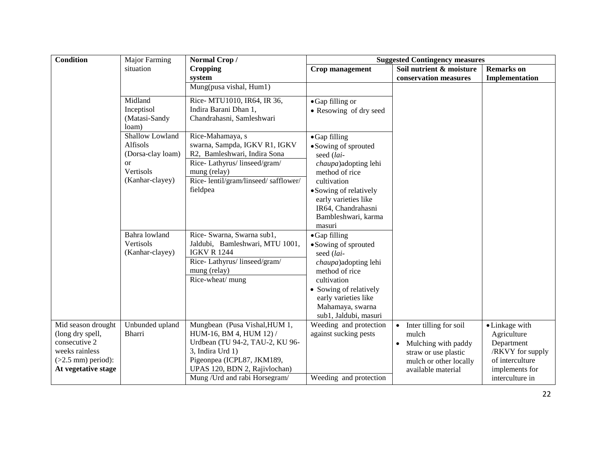| <b>Condition</b>                | Major Farming                        | Normal Crop/                                        | <b>Suggested Contingency measures</b>          |                                                |                                |
|---------------------------------|--------------------------------------|-----------------------------------------------------|------------------------------------------------|------------------------------------------------|--------------------------------|
|                                 | situation                            | <b>Cropping</b>                                     | <b>Crop management</b>                         | Soil nutrient & moisture                       | <b>Remarks</b> on              |
|                                 |                                      | system                                              |                                                | conservation measures                          | Implementation                 |
|                                 |                                      | Mung(pusa vishal, Hum1)                             |                                                |                                                |                                |
|                                 | Midland                              | Rice- MTU1010, IR64, IR 36,                         | • Gap filling or                               |                                                |                                |
|                                 | Inceptisol<br>(Matasi-Sandy<br>loam) | Indira Barani Dhan 1,<br>Chandrahasni, Samleshwari  | • Resowing of dry seed                         |                                                |                                |
|                                 | Shallow Lowland                      | Rice-Mahamaya, s                                    | $\bullet$ Gap filling                          |                                                |                                |
|                                 | Alfisols                             | swarna, Sampda, IGKV R1, IGKV                       | • Sowing of sprouted                           |                                                |                                |
|                                 | (Dorsa-clay loam)                    | R2, Bamleshwari, Indira Sona                        | seed (lai-                                     |                                                |                                |
|                                 | <b>or</b>                            | Rice-Lathyrus/linseed/gram/                         | chaupa) adopting lehi                          |                                                |                                |
|                                 | Vertisols                            | mung (relay)                                        | method of rice                                 |                                                |                                |
|                                 | (Kanhar-clayey)                      | Rice-lentil/gram/linseed/safflower/<br>fieldpea     | cultivation                                    |                                                |                                |
|                                 |                                      |                                                     | • Sowing of relatively<br>early varieties like |                                                |                                |
|                                 |                                      |                                                     | IR64, Chandrahasni                             |                                                |                                |
|                                 |                                      |                                                     | Bambleshwari, karma                            |                                                |                                |
|                                 |                                      |                                                     | masuri                                         |                                                |                                |
|                                 | Bahra lowland                        | Rice- Swarna, Swarna sub1,                          | • Gap filling                                  |                                                |                                |
|                                 | Vertisols                            | Jaldubi, Bamleshwari, MTU 1001,                     | • Sowing of sprouted                           |                                                |                                |
|                                 | (Kanhar-clayey)                      | <b>IGKV R 1244</b>                                  | seed (lai-                                     |                                                |                                |
|                                 |                                      | Rice-Lathyrus/linseed/gram/<br>mung (relay)         | chaupa)adopting lehi<br>method of rice         |                                                |                                |
|                                 |                                      | Rice-wheat/ mung                                    | cultivation                                    |                                                |                                |
|                                 |                                      |                                                     | • Sowing of relatively                         |                                                |                                |
|                                 |                                      |                                                     | early varieties like                           |                                                |                                |
|                                 |                                      |                                                     | Mahamaya, swarna                               |                                                |                                |
|                                 |                                      |                                                     | sub1, Jaldubi, masuri                          |                                                |                                |
| Mid season drought              | Unbunded upland                      | Mungbean (Pusa Vishal, HUM 1,                       | Weeding and protection                         | Inter tilling for soil<br>$\bullet$            | • Linkage with                 |
| (long dry spell,                | <b>Bharri</b>                        | HUM-16, BM 4, HUM 12) /                             | against sucking pests                          | mulch                                          | Agriculture                    |
| consecutive 2<br>weeks rainless |                                      | Urdbean (TU 94-2, TAU-2, KU 96-<br>3, Indira Urd 1) |                                                | Mulching with paddy<br>$\bullet$               | Department<br>/RKVY for supply |
| $(>2.5$ mm) period):            |                                      | Pigeonpea (ICPL87, JKM189,                          |                                                | straw or use plastic<br>mulch or other locally | of interculture                |
| At vegetative stage             |                                      | UPAS 120, BDN 2, Rajivlochan)                       |                                                | available material                             | implements for                 |
|                                 |                                      | Mung / Urd and rabi Horsegram/                      | Weeding and protection                         |                                                | interculture in                |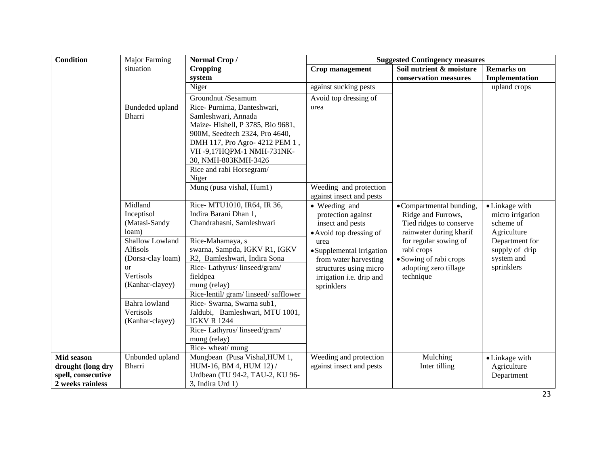| <b>Condition</b>   | <b>Major Farming</b> | Normal Crop/                          | <b>Suggested Contingency measures</b> |                          |                   |  |
|--------------------|----------------------|---------------------------------------|---------------------------------------|--------------------------|-------------------|--|
|                    | situation            | <b>Cropping</b>                       | Crop management                       | Soil nutrient & moisture | <b>Remarks</b> on |  |
|                    |                      | system                                |                                       | conservation measures    | Implementation    |  |
|                    |                      | Niger                                 | against sucking pests                 |                          | upland crops      |  |
|                    |                      | Groundnut /Sesamum                    | Avoid top dressing of                 |                          |                   |  |
|                    | Bundeded upland      | Rice-Purnima, Danteshwari,            | urea                                  |                          |                   |  |
|                    | Bharri               | Samleshwari, Annada                   |                                       |                          |                   |  |
|                    |                      | Maize-Hishell, P 3785, Bio 9681,      |                                       |                          |                   |  |
|                    |                      | 900M, Seedtech 2324, Pro 4640,        |                                       |                          |                   |  |
|                    |                      | DMH 117, Pro Agro- 4212 PEM 1,        |                                       |                          |                   |  |
|                    |                      | VH-9,17HQPM-1 NMH-731NK-              |                                       |                          |                   |  |
|                    |                      | 30, NMH-803KMH-3426                   |                                       |                          |                   |  |
|                    |                      | Rice and rabi Horsegram/              |                                       |                          |                   |  |
|                    |                      | Niger                                 |                                       |                          |                   |  |
|                    |                      | Mung (pusa vishal, Hum1)              | Weeding and protection                |                          |                   |  |
|                    |                      |                                       | against insect and pests              |                          |                   |  |
|                    | Midland              | Rice- MTU1010, IR64, IR 36,           | • Weeding and                         | • Compartmental bunding, | • Linkage with    |  |
|                    | Inceptisol           | Indira Barani Dhan 1,                 | protection against                    | Ridge and Furrows,       | micro irrigation  |  |
|                    | (Matasi-Sandy        | Chandrahasni, Samleshwari             | insect and pests                      | Tied ridges to conserve  | scheme of         |  |
|                    | loam)                |                                       | • Avoid top dressing of               | rainwater during kharif  | Agriculture       |  |
|                    | Shallow Lowland      | Rice-Mahamaya, s                      | urea                                  | for regular sowing of    | Department for    |  |
|                    | Alfisols             | swarna, Sampda, IGKV R1, IGKV         | • Supplemental irrigation             | rabi crops               | supply of drip    |  |
|                    | (Dorsa-clay loam)    | R2, Bamleshwari, Indira Sona          | from water harvesting                 | • Sowing of rabi crops   | system and        |  |
|                    | <sub>or</sub>        | Rice-Lathyrus/linseed/gram/           | structures using micro                | adopting zero tillage    | sprinklers        |  |
|                    | Vertisols            | fieldpea                              | irrigation i.e. drip and              | technique                |                   |  |
|                    | (Kanhar-clayey)      | mung (relay)                          | sprinklers                            |                          |                   |  |
|                    |                      | Rice-lentil/ gram/ linseed/ safflower |                                       |                          |                   |  |
|                    | Bahra lowland        | Rice- Swarna, Swarna sub1,            |                                       |                          |                   |  |
|                    | Vertisols            | Jaldubi, Bamleshwari, MTU 1001,       |                                       |                          |                   |  |
|                    | (Kanhar-clayey)      | <b>IGKV R 1244</b>                    |                                       |                          |                   |  |
|                    |                      | Rice-Lathyrus/linseed/gram/           |                                       |                          |                   |  |
|                    |                      | mung (relay)                          |                                       |                          |                   |  |
|                    |                      | Rice-wheat/mung                       |                                       |                          |                   |  |
| Mid season         | Unbunded upland      | Mungbean (Pusa Vishal, HUM 1,         | Weeding and protection                | Mulching                 | • Linkage with    |  |
| drought (long dry  | Bharri               | HUM-16, BM 4, HUM 12) /               | against insect and pests              | Inter tilling            | Agriculture       |  |
| spell, consecutive |                      | Urdbean (TU 94-2, TAU-2, KU 96-       |                                       |                          | Department        |  |
| 2 weeks rainless   |                      | 3, Indira Urd 1)                      |                                       |                          |                   |  |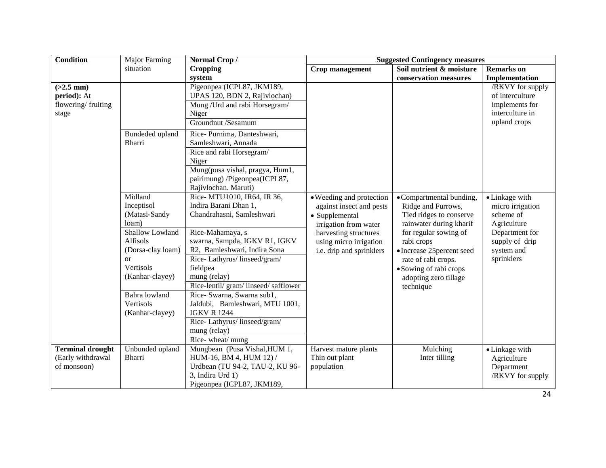| Condition                                                   | Major Farming                                                                                                                                                           | Normal Crop/                                                                                                                                                                                                                                                                                                                                | <b>Suggested Contingency measures</b>                                                                                                                                          |                                                                                                                                                                                                                                                                 |                                                                                                                                |  |
|-------------------------------------------------------------|-------------------------------------------------------------------------------------------------------------------------------------------------------------------------|---------------------------------------------------------------------------------------------------------------------------------------------------------------------------------------------------------------------------------------------------------------------------------------------------------------------------------------------|--------------------------------------------------------------------------------------------------------------------------------------------------------------------------------|-----------------------------------------------------------------------------------------------------------------------------------------------------------------------------------------------------------------------------------------------------------------|--------------------------------------------------------------------------------------------------------------------------------|--|
|                                                             | situation                                                                                                                                                               | <b>Cropping</b>                                                                                                                                                                                                                                                                                                                             | Crop management                                                                                                                                                                | Soil nutrient & moisture                                                                                                                                                                                                                                        | <b>Remarks</b> on                                                                                                              |  |
|                                                             |                                                                                                                                                                         | system                                                                                                                                                                                                                                                                                                                                      |                                                                                                                                                                                | conservation measures                                                                                                                                                                                                                                           | Implementation                                                                                                                 |  |
| $(>2.5$ mm)<br>period): At<br>flowering/fruiting<br>stage   | Bundeded upland<br><b>Bharri</b>                                                                                                                                        | Pigeonpea (ICPL87, JKM189,<br>UPAS 120, BDN 2, Rajivlochan)<br>Mung / Urd and rabi Horsegram/<br>Niger<br>Groundnut /Sesamum<br>Rice-Purnima, Danteshwari,<br>Samleshwari, Annada<br>Rice and rabi Horsegram/                                                                                                                               |                                                                                                                                                                                |                                                                                                                                                                                                                                                                 | /RKVY for supply<br>of interculture<br>implements for<br>interculture in<br>upland crops                                       |  |
|                                                             |                                                                                                                                                                         | Niger<br>Mung(pusa vishal, pragya, Hum1,<br>pairimung) /Pigeonpea(ICPL87,<br>Rajivlochan. Maruti)                                                                                                                                                                                                                                           |                                                                                                                                                                                |                                                                                                                                                                                                                                                                 |                                                                                                                                |  |
|                                                             | Midland<br>Inceptisol<br>(Matasi-Sandy<br>loam)<br>Shallow Lowland<br>Alfisols<br>(Dorsa-clay loam)<br>or<br>Vertisols<br>(Kanhar-clayey)<br>Bahra lowland<br>Vertisols | Rice- MTU1010, IR64, IR 36,<br>Indira Barani Dhan 1,<br>Chandrahasni, Samleshwari<br>Rice-Mahamaya, s<br>swarna, Sampda, IGKV R1, IGKV<br>R2, Bamleshwari, Indira Sona<br>Rice-Lathyrus/linseed/gram/<br>fieldpea<br>mung (relay)<br>Rice-lentil/ gram/ linseed/ safflower<br>Rice- Swarna, Swarna sub1,<br>Jaldubi, Bamleshwari, MTU 1001, | • Weeding and protection<br>against insect and pests<br>• Supplemental<br>irrigation from water<br>harvesting structures<br>using micro irrigation<br>i.e. drip and sprinklers | •Compartmental bunding,<br>Ridge and Furrows,<br>Tied ridges to conserve<br>rainwater during kharif<br>for regular sowing of<br>rabi crops<br>• Increase 25 percent seed<br>rate of rabi crops.<br>• Sowing of rabi crops<br>adopting zero tillage<br>technique | • Linkage with<br>micro irrigation<br>scheme of<br>Agriculture<br>Department for<br>supply of drip<br>system and<br>sprinklers |  |
|                                                             | (Kanhar-clayey)                                                                                                                                                         | <b>IGKV R 1244</b><br>Rice-Lathyrus/linseed/gram/<br>mung (relay)<br>Rice-wheat/mung                                                                                                                                                                                                                                                        |                                                                                                                                                                                |                                                                                                                                                                                                                                                                 |                                                                                                                                |  |
| <b>Terminal drought</b><br>(Early withdrawal<br>of monsoon) | Unbunded upland<br><b>Bharri</b>                                                                                                                                        | Mungbean (Pusa Vishal, HUM 1,<br>HUM-16, BM 4, HUM 12) /<br>Urdbean (TU 94-2, TAU-2, KU 96-<br>3, Indira Urd 1)<br>Pigeonpea (ICPL87, JKM189,                                                                                                                                                                                               | Harvest mature plants<br>Thin out plant<br>population                                                                                                                          | Mulching<br>Inter tilling                                                                                                                                                                                                                                       | • Linkage with<br>Agriculture<br>Department<br>/RKVY for supply                                                                |  |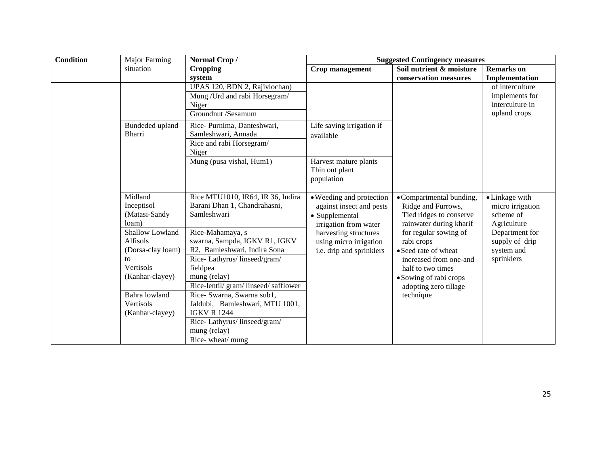| <b>Condition</b> | Major Farming     | Normal Crop/                                                        |                           | <b>Suggested Contingency measures</b> |                   |
|------------------|-------------------|---------------------------------------------------------------------|---------------------------|---------------------------------------|-------------------|
|                  | situation         | <b>Cropping</b>                                                     | <b>Crop management</b>    | Soil nutrient & moisture              | <b>Remarks</b> on |
|                  |                   | system                                                              |                           | conservation measures                 | Implementation    |
|                  |                   | UPAS 120, BDN 2, Rajivlochan)                                       |                           |                                       | of interculture   |
|                  |                   | Mung / Urd and rabi Horsegram/                                      |                           |                                       | implements for    |
|                  |                   | Niger                                                               |                           |                                       | interculture in   |
|                  |                   | Groundnut /Sesamum                                                  |                           |                                       | upland crops      |
|                  | Bundeded upland   | Rice-Purnima, Danteshwari,                                          | Life saving irrigation if |                                       |                   |
|                  | <b>Bharri</b>     | Samleshwari, Annada                                                 | available                 |                                       |                   |
|                  |                   | Rice and rabi Horsegram/                                            |                           |                                       |                   |
|                  |                   | Niger                                                               |                           |                                       |                   |
|                  |                   | Mung (pusa vishal, Hum1)                                            | Harvest mature plants     |                                       |                   |
|                  |                   |                                                                     | Thin out plant            |                                       |                   |
|                  |                   |                                                                     | population                |                                       |                   |
|                  |                   |                                                                     |                           |                                       |                   |
|                  | Midland           | Rice MTU1010, IR64, IR 36, Indira                                   | • Weeding and protection  | •Compartmental bunding,               | • Linkage with    |
|                  | Inceptisol        | Barani Dhan 1, Chandrahasni,                                        | against insect and pests  | Ridge and Furrows,                    | micro irrigation  |
|                  | (Matasi-Sandy     | Samleshwari                                                         | • Supplemental            | Tied ridges to conserve               | scheme of         |
|                  | loam)             |                                                                     | irrigation from water     | rainwater during kharif               | Agriculture       |
|                  | Shallow Lowland   | Rice-Mahamaya, s                                                    | harvesting structures     | for regular sowing of                 | Department for    |
|                  | Alfisols          | swarna, Sampda, IGKV R1, IGKV                                       | using micro irrigation    | rabi crops                            | supply of drip    |
|                  | (Dorsa-clay loam) | R2, Bamleshwari, Indira Sona                                        | i.e. drip and sprinklers  | • Seed rate of wheat                  | system and        |
|                  | to<br>Vertisols   | Rice-Lathyrus/linseed/gram/                                         |                           | increased from one-and                | sprinklers        |
|                  | (Kanhar-clayey)   | fieldpea                                                            |                           | half to two times                     |                   |
|                  |                   | mung (relay)                                                        |                           | • Sowing of rabi crops                |                   |
|                  | Bahra lowland     | Rice-lentil/ gram/ linseed/ safflower<br>Rice- Swarna, Swarna sub1, |                           | adopting zero tillage                 |                   |
|                  |                   |                                                                     |                           | technique                             |                   |
|                  | Vertisols         | Jaldubi, Bamleshwari, MTU 1001,                                     |                           |                                       |                   |
|                  | (Kanhar-clayey)   | <b>IGKV R 1244</b>                                                  |                           |                                       |                   |
|                  |                   | Rice-Lathyrus/linseed/gram/                                         |                           |                                       |                   |
|                  |                   | mung (relay)                                                        |                           |                                       |                   |
|                  |                   | Rice-wheat/mung                                                     |                           |                                       |                   |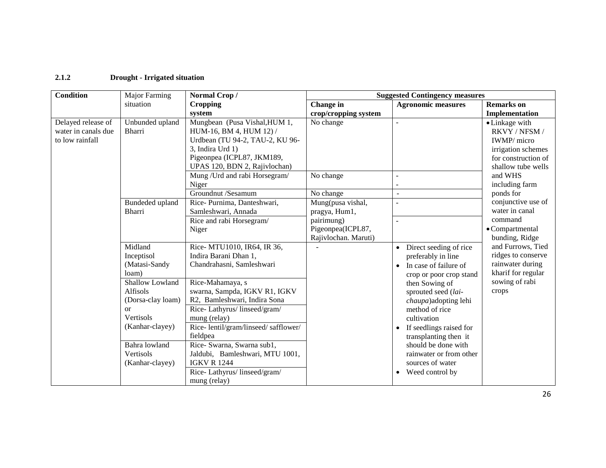## **2.1.2 Drought - Irrigated situation**

| Condition                                                    | Major Farming                                                                                                                                                                                          | Normal Crop/                                                                                                                                                                                                                                                                                                                                                                                                   | <b>Suggested Contingency measures</b>                                                                      |                                                                                                                                                                                                                                                                                                                                                                                        |                                                                                                                                                |
|--------------------------------------------------------------|--------------------------------------------------------------------------------------------------------------------------------------------------------------------------------------------------------|----------------------------------------------------------------------------------------------------------------------------------------------------------------------------------------------------------------------------------------------------------------------------------------------------------------------------------------------------------------------------------------------------------------|------------------------------------------------------------------------------------------------------------|----------------------------------------------------------------------------------------------------------------------------------------------------------------------------------------------------------------------------------------------------------------------------------------------------------------------------------------------------------------------------------------|------------------------------------------------------------------------------------------------------------------------------------------------|
|                                                              | situation                                                                                                                                                                                              | <b>Cropping</b>                                                                                                                                                                                                                                                                                                                                                                                                | Change in                                                                                                  | <b>Agronomic measures</b>                                                                                                                                                                                                                                                                                                                                                              | <b>Remarks</b> on                                                                                                                              |
|                                                              |                                                                                                                                                                                                        | system                                                                                                                                                                                                                                                                                                                                                                                                         | crop/cropping system                                                                                       |                                                                                                                                                                                                                                                                                                                                                                                        | Implementation                                                                                                                                 |
| Delayed release of<br>water in canals due<br>to low rainfall | Unbunded upland<br>Bharri                                                                                                                                                                              | Mungbean (Pusa Vishal, HUM 1,<br>HUM-16, BM 4, HUM 12) /<br>Urdbean (TU 94-2, TAU-2, KU 96-<br>3, Indira Urd 1)<br>Pigeonpea (ICPL87, JKM189,<br>UPAS 120, BDN 2, Rajivlochan)<br>Mung / Urd and rabi Horsegram/<br>Niger                                                                                                                                                                                      | No change<br>No change                                                                                     |                                                                                                                                                                                                                                                                                                                                                                                        | • Linkage with<br>RKVY / NFSM /<br>IWMP/ micro<br>irrigation schemes<br>for construction of<br>shallow tube wells<br>and WHS<br>including farm |
|                                                              | Bundeded upland<br>Bharri                                                                                                                                                                              | Groundnut /Sesamum<br>Rice-Purnima, Danteshwari,<br>Samleshwari, Annada<br>Rice and rabi Horsegram/<br>Niger                                                                                                                                                                                                                                                                                                   | No change<br>Mung(pusa vishal,<br>pragya, Hum1,<br>pairimung)<br>Pigeonpea(ICPL87,<br>Rajivlochan. Maruti) |                                                                                                                                                                                                                                                                                                                                                                                        | ponds for<br>conjunctive use of<br>water in canal<br>command<br>• Compartmental<br>bunding, Ridge                                              |
|                                                              | Midland<br>Inceptisol<br>(Matasi-Sandy<br>loam)<br>Shallow Lowland<br>Alfisols<br>(Dorsa-clay loam)<br><sub>O</sub> r<br>Vertisols<br>(Kanhar-clayey)<br>Bahra lowland<br>Vertisols<br>(Kanhar-clayey) | Rice- MTU1010, IR64, IR 36,<br>Indira Barani Dhan 1,<br>Chandrahasni, Samleshwari<br>Rice-Mahamaya, s<br>swarna, Sampda, IGKV R1, IGKV<br>R2, Bamleshwari, Indira Sona<br>Rice-Lathyrus/linseed/gram/<br>mung (relay)<br>Rice-lentil/gram/linseed/safflower/<br>fieldpea<br>Rice- Swarna, Swarna sub1,<br>Jaldubi, Bamleshwari, MTU 1001,<br><b>IGKV R 1244</b><br>Rice-Lathyrus/linseed/gram/<br>mung (relay) |                                                                                                            | Direct seeding of rice<br>$\bullet$<br>preferably in line<br>In case of failure of<br>$\bullet$<br>crop or poor crop stand<br>then Sowing of<br>sprouted seed (lai-<br>chaupa)adopting lehi<br>method of rice<br>cultivation<br>If seedlings raised for<br>transplanting then it<br>should be done with<br>rainwater or from other<br>sources of water<br>Weed control by<br>$\bullet$ | and Furrows, Tied<br>ridges to conserve<br>rainwater during<br>kharif for regular<br>sowing of rabi<br>crops                                   |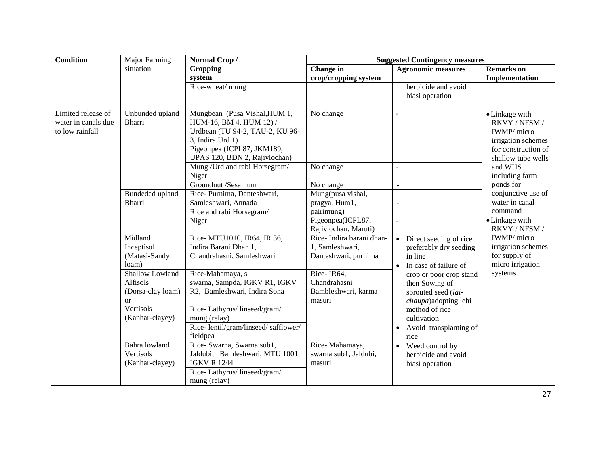| <b>Condition</b>                                             | Major Farming                                                 | Normal Crop/                                                                                                                                                                   | <b>Suggested Contingency measures</b>                               |                                                                                                                |                                                                                                                   |
|--------------------------------------------------------------|---------------------------------------------------------------|--------------------------------------------------------------------------------------------------------------------------------------------------------------------------------|---------------------------------------------------------------------|----------------------------------------------------------------------------------------------------------------|-------------------------------------------------------------------------------------------------------------------|
|                                                              | situation                                                     | <b>Cropping</b>                                                                                                                                                                | Change in                                                           | <b>Agronomic measures</b>                                                                                      | <b>Remarks</b> on                                                                                                 |
|                                                              |                                                               | system                                                                                                                                                                         | crop/cropping system                                                |                                                                                                                | Implementation                                                                                                    |
|                                                              |                                                               | Rice-wheat/ mung                                                                                                                                                               |                                                                     | herbicide and avoid<br>biasi operation                                                                         |                                                                                                                   |
| Limited release of<br>water in canals due<br>to low rainfall | Unbunded upland<br><b>Bharri</b>                              | Mungbean (Pusa Vishal, HUM 1,<br>HUM-16, BM 4, HUM 12) /<br>Urdbean (TU 94-2, TAU-2, KU 96-<br>3, Indira Urd 1)<br>Pigeonpea (ICPL87, JKM189,<br>UPAS 120, BDN 2, Rajivlochan) | No change                                                           | ÷.                                                                                                             | • Linkage with<br>RKVY / NFSM /<br>IWMP/ micro<br>irrigation schemes<br>for construction of<br>shallow tube wells |
|                                                              |                                                               | Mung / Urd and rabi Horsegram/<br>Niger                                                                                                                                        | No change                                                           |                                                                                                                | and WHS<br>including farm                                                                                         |
|                                                              |                                                               | Groundnut /Sesamum                                                                                                                                                             | No change                                                           | ÷.                                                                                                             | ponds for                                                                                                         |
|                                                              | Bundeded upland<br><b>Bharri</b>                              | Rice-Purnima, Danteshwari,<br>Samleshwari, Annada                                                                                                                              | Mung(pusa vishal,<br>pragya, Hum1,                                  |                                                                                                                | conjunctive use of<br>water in canal                                                                              |
|                                                              |                                                               | Rice and rabi Horsegram/<br>Niger                                                                                                                                              | pairimung)<br>Pigeonpea(ICPL87,<br>Rajivlochan. Maruti)             |                                                                                                                | command<br>• Linkage with<br>RKVY / NFSM /                                                                        |
|                                                              | Midland<br>Inceptisol<br>(Matasi-Sandy<br>loam)               | Rice- MTU1010, IR64, IR 36,<br>Indira Barani Dhan 1,<br>Chandrahasni, Samleshwari                                                                                              | Rice-Indira barani dhan-<br>1, Samleshwari,<br>Danteshwari, purnima | Direct seeding of rice<br>$\bullet$<br>preferably dry seeding<br>in line<br>In case of failure of<br>$\bullet$ | IWMP/ micro<br>irrigation schemes<br>for supply of<br>micro irrigation                                            |
|                                                              | Shallow Lowland<br>Alfisols<br>(Dorsa-clay loam)<br><b>or</b> | Rice-Mahamaya, s<br>swarna, Sampda, IGKV R1, IGKV<br>R2, Bamleshwari, Indira Sona                                                                                              | Rice-IR64,<br>Chandrahasni<br>Bambleshwari, karma<br>masuri         | crop or poor crop stand<br>then Sowing of<br>sprouted seed (lai-<br>chaupa) adopting lehi                      | systems                                                                                                           |
|                                                              | Vertisols<br>(Kanhar-clayey)                                  | Rice-Lathyrus/linseed/gram/<br>mung (relay)<br>Rice-lentil/gram/linseed/safflower/<br>fieldpea                                                                                 |                                                                     | method of rice<br>cultivation<br>Avoid transplanting of<br>$\bullet$<br>rice                                   |                                                                                                                   |
|                                                              | Bahra lowland<br>Vertisols<br>(Kanhar-clayey)                 | Rice- Swarna, Swarna sub1,<br>Jaldubi, Bamleshwari, MTU 1001,<br><b>IGKV R 1244</b><br>Rice-Lathyrus/linseed/gram/<br>mung (relay)                                             | Rice-Mahamaya,<br>swarna sub1, Jaldubi,<br>masuri                   | Weed control by<br>$\bullet$<br>herbicide and avoid<br>biasi operation                                         |                                                                                                                   |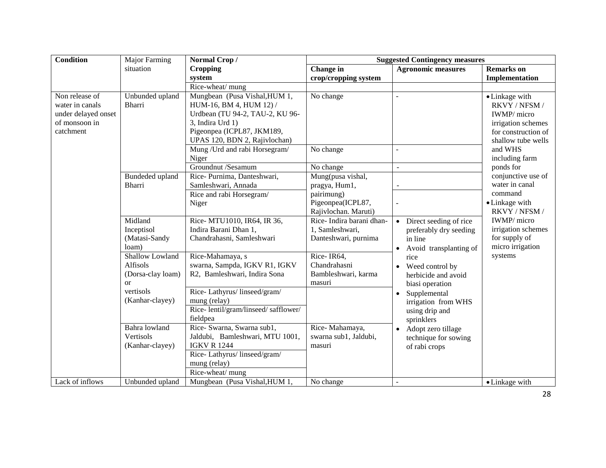| <b>Condition</b>                                                                       | <b>Major Farming</b>                                   | Normal Crop/                                                                                                                                                                                                     | <b>Suggested Contingency measures</b>                                                         |                                                                                                    |                                                                                                                              |  |
|----------------------------------------------------------------------------------------|--------------------------------------------------------|------------------------------------------------------------------------------------------------------------------------------------------------------------------------------------------------------------------|-----------------------------------------------------------------------------------------------|----------------------------------------------------------------------------------------------------|------------------------------------------------------------------------------------------------------------------------------|--|
|                                                                                        | situation                                              | <b>Cropping</b>                                                                                                                                                                                                  | Change in                                                                                     | <b>Agronomic measures</b>                                                                          | <b>Remarks</b> on                                                                                                            |  |
|                                                                                        |                                                        | system                                                                                                                                                                                                           | crop/cropping system                                                                          |                                                                                                    | Implementation                                                                                                               |  |
|                                                                                        |                                                        | Rice-wheat/ mung                                                                                                                                                                                                 |                                                                                               |                                                                                                    |                                                                                                                              |  |
| Non release of<br>water in canals<br>under delayed onset<br>of monsoon in<br>catchment | Unbunded upland<br>Bharri                              | Mungbean (Pusa Vishal, HUM 1,<br>HUM-16, BM 4, HUM 12) /<br>Urdbean (TU 94-2, TAU-2, KU 96-<br>3, Indira Urd 1)<br>Pigeonpea (ICPL87, JKM189,<br>UPAS 120, BDN 2, Rajivlochan)<br>Mung / Urd and rabi Horsegram/ | No change<br>No change                                                                        | ÷.                                                                                                 | • Linkage with<br>RKVY / NFSM /<br>IWMP/ micro<br>irrigation schemes<br>for construction of<br>shallow tube wells<br>and WHS |  |
|                                                                                        |                                                        | Niger                                                                                                                                                                                                            |                                                                                               |                                                                                                    | including farm                                                                                                               |  |
|                                                                                        |                                                        | Groundnut /Sesamum                                                                                                                                                                                               | No change                                                                                     | $\mathbf{r}$                                                                                       | ponds for                                                                                                                    |  |
|                                                                                        | Bundeded upland<br><b>Bharri</b>                       | Rice-Purnima, Danteshwari,<br>Samleshwari, Annada<br>Rice and rabi Horsegram/<br>Niger                                                                                                                           | Mung(pusa vishal,<br>pragya, Hum1,<br>pairimung)<br>Pigeonpea(ICPL87,<br>Rajivlochan. Maruti) | $\overline{a}$                                                                                     | conjunctive use of<br>water in canal<br>command<br>• Linkage with<br>RKVY / NFSM /                                           |  |
|                                                                                        | Midland<br>Inceptisol<br>(Matasi-Sandy<br>loam)        | Rice- MTU1010, IR64, IR 36,<br>Indira Barani Dhan 1,<br>Chandrahasni, Samleshwari                                                                                                                                | Rice-Indira barani dhan-<br>1, Samleshwari,<br>Danteshwari, purnima                           | Direct seeding of rice<br>preferably dry seeding<br>in line<br>Avoid transplanting of<br>$\bullet$ | IWMP/ micro<br>irrigation schemes<br>for supply of<br>micro irrigation                                                       |  |
|                                                                                        | Shallow Lowland<br>Alfisols<br>(Dorsa-clay loam)<br>or | Rice-Mahamaya, s<br>swarna, Sampda, IGKV R1, IGKV<br>R2, Bamleshwari, Indira Sona                                                                                                                                | Rice-IR64,<br>Chandrahasni<br>Bambleshwari, karma<br>masuri                                   | rice<br>Weed control by<br>herbicide and avoid<br>biasi operation                                  | systems                                                                                                                      |  |
|                                                                                        | vertisols<br>(Kanhar-clayey)                           | Rice-Lathyrus/linseed/gram/<br>mung (relay)<br>Rice-lentil/gram/linseed/safflower/<br>fieldpea                                                                                                                   |                                                                                               | Supplemental<br>irrigation from WHS<br>using drip and<br>sprinklers                                |                                                                                                                              |  |
|                                                                                        | Bahra lowland<br>Vertisols<br>(Kanhar-clayey)          | Rice- Swarna, Swarna sub1,<br>Jaldubi, Bamleshwari, MTU 1001,<br><b>IGKV R 1244</b><br>Rice-Lathyrus/linseed/gram/<br>mung (relay)<br>Rice-wheat/mung                                                            | Rice-Mahamaya,<br>swarna sub1, Jaldubi,<br>masuri                                             | Adopt zero tillage<br>$\bullet$<br>technique for sowing<br>of rabi crops                           |                                                                                                                              |  |
| Lack of inflows                                                                        | Unbunded upland                                        | Mungbean (Pusa Vishal, HUM 1,                                                                                                                                                                                    | No change                                                                                     |                                                                                                    | • Linkage with                                                                                                               |  |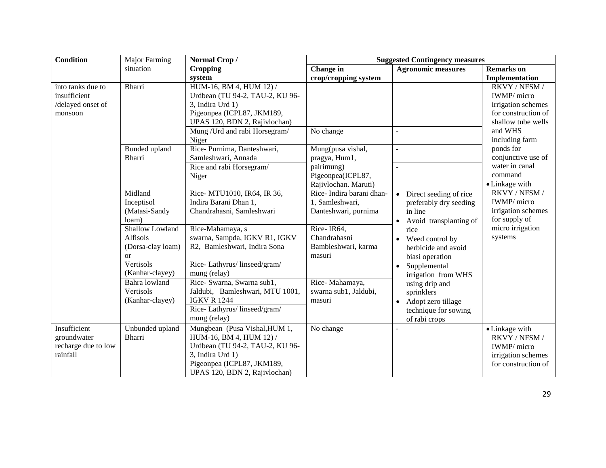| Condition           | Major Farming     | Normal Crop/                    | <b>Suggested Contingency measures</b> |                                     |                     |  |
|---------------------|-------------------|---------------------------------|---------------------------------------|-------------------------------------|---------------------|--|
|                     | situation         | <b>Cropping</b>                 | Change in                             | <b>Agronomic measures</b>           | <b>Remarks</b> on   |  |
|                     |                   | system                          | crop/cropping system                  |                                     | Implementation      |  |
| into tanks due to   | Bharri            | HUM-16, BM 4, HUM 12) /         |                                       |                                     | RKVY / NFSM /       |  |
| insufficient        |                   | Urdbean (TU 94-2, TAU-2, KU 96- |                                       |                                     | IWMP/ micro         |  |
| /delayed onset of   |                   | 3, Indira Urd 1)                |                                       |                                     | irrigation schemes  |  |
| monsoon             |                   | Pigeonpea (ICPL87, JKM189,      |                                       |                                     | for construction of |  |
|                     |                   | UPAS 120, BDN 2, Rajivlochan)   |                                       |                                     | shallow tube wells  |  |
|                     |                   | Mung / Urd and rabi Horsegram/  | No change                             |                                     | and WHS             |  |
|                     |                   | Niger                           |                                       |                                     | including farm      |  |
|                     | Bunded upland     | Rice-Purnima, Danteshwari,      | Mung(pusa vishal,                     |                                     | ponds for           |  |
|                     | Bharri            | Samleshwari, Annada             | pragya, Hum1,                         |                                     | conjunctive use of  |  |
|                     |                   | Rice and rabi Horsegram/        | pairimung)                            |                                     | water in canal      |  |
|                     |                   | Niger                           | Pigeonpea(ICPL87,                     |                                     | command             |  |
|                     |                   |                                 | Rajivlochan. Maruti)                  |                                     | • Linkage with      |  |
|                     | Midland           | Rice- MTU1010, IR64, IR 36,     | Rice-Indira barani dhan-              | Direct seeding of rice<br>$\bullet$ | RKVY / NFSM /       |  |
|                     | Inceptisol        | Indira Barani Dhan 1,           | 1, Samleshwari,                       | preferably dry seeding              | IWMP/ micro         |  |
|                     | (Matasi-Sandy     | Chandrahasni, Samleshwari       | Danteshwari, purnima                  | in line                             | irrigation schemes  |  |
|                     | loam)             |                                 |                                       | Avoid transplanting of              | for supply of       |  |
|                     | Shallow Lowland   | Rice-Mahamaya, s                | Rice-IR64,                            | rice                                | micro irrigation    |  |
|                     | Alfisols          | swarna, Sampda, IGKV R1, IGKV   | Chandrahasni                          | Weed control by                     | systems             |  |
|                     | (Dorsa-clay loam) | R2, Bamleshwari, Indira Sona    | Bambleshwari, karma                   | herbicide and avoid                 |                     |  |
|                     | <b>or</b>         |                                 | masuri                                | biasi operation                     |                     |  |
|                     | Vertisols         | Rice-Lathyrus/linseed/gram/     |                                       | Supplemental                        |                     |  |
|                     | (Kanhar-clayey)   | mung (relay)                    |                                       | irrigation from WHS                 |                     |  |
|                     | Bahra lowland     | Rice- Swarna, Swarna sub1,      | Rice-Mahamaya,                        | using drip and                      |                     |  |
|                     | Vertisols         | Jaldubi, Bamleshwari, MTU 1001, | swarna sub1, Jaldubi,                 | sprinklers                          |                     |  |
|                     | (Kanhar-clayey)   | <b>IGKV R 1244</b>              | masuri                                | Adopt zero tillage<br>$\bullet$     |                     |  |
|                     |                   | Rice-Lathyrus/linseed/gram/     |                                       | technique for sowing                |                     |  |
|                     |                   | mung (relay)                    |                                       | of rabi crops                       |                     |  |
| Insufficient        | Unbunded upland   | Mungbean (Pusa Vishal, HUM 1,   | No change                             |                                     | • Linkage with      |  |
| groundwater         | Bharri            | HUM-16, BM 4, HUM 12) /         |                                       |                                     | RKVY / NFSM /       |  |
| recharge due to low |                   | Urdbean (TU 94-2, TAU-2, KU 96- |                                       |                                     | IWMP/ micro         |  |
| rainfall            |                   | 3, Indira Urd 1)                |                                       |                                     | irrigation schemes  |  |
|                     |                   | Pigeonpea (ICPL87, JKM189,      |                                       |                                     | for construction of |  |
|                     |                   | UPAS 120, BDN 2, Rajivlochan)   |                                       |                                     |                     |  |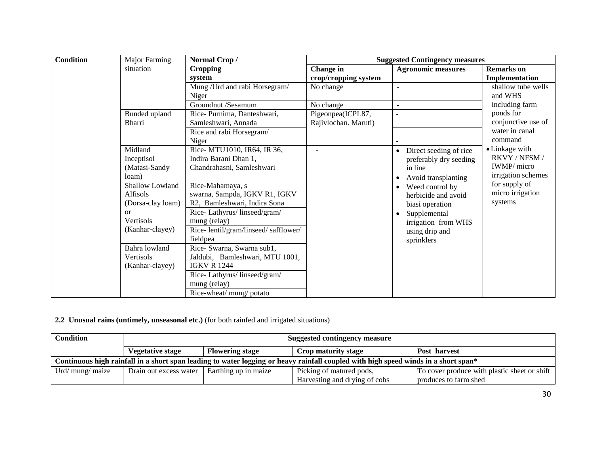| <b>Condition</b> | <b>Major Farming</b> | Normal Crop/                        | <b>Suggested Contingency measures</b> |                                     |                     |
|------------------|----------------------|-------------------------------------|---------------------------------------|-------------------------------------|---------------------|
|                  | situation            | <b>Cropping</b>                     | Change in                             | <b>Agronomic measures</b>           | <b>Remarks</b> on   |
|                  |                      | system                              | crop/cropping system                  |                                     | Implementation      |
|                  |                      | Mung / Urd and rabi Horsegram/      | No change                             |                                     | shallow tube wells  |
|                  |                      | Niger                               |                                       |                                     | and WHS             |
|                  |                      | Groundnut /Sesamum                  | No change                             |                                     | including farm      |
|                  | Bunded upland        | Rice-Purnima, Danteshwari,          | Pigeonpea(ICPL87,                     |                                     | ponds for           |
|                  | <b>Bharri</b>        | Samleshwari, Annada                 | Rajivlochan. Maruti)                  |                                     | conjunctive use of  |
|                  |                      | Rice and rabi Horsegram/            |                                       |                                     | water in canal      |
|                  |                      | Niger                               |                                       |                                     | command             |
|                  | Midland              | Rice- MTU1010, IR64, IR 36,         |                                       | Direct seeding of rice<br>$\bullet$ | • Linkage with      |
|                  | Inceptisol           | Indira Barani Dhan 1,               |                                       | preferably dry seeding              | RKVY / NFSM /       |
|                  | (Matasi-Sandy        | Chandrahasni, Samleshwari           |                                       | in line                             | <b>IWMP</b> / micro |
|                  | loam)                |                                     |                                       | Avoid transplanting<br>٠            | irrigation schemes  |
|                  | Shallow Lowland      | Rice-Mahamaya, s                    |                                       | Weed control by                     | for supply of       |
|                  | Alfisols             | swarna, Sampda, IGKV R1, IGKV       |                                       | herbicide and avoid                 | micro irrigation    |
|                  | (Dorsa-clay loam)    | R2, Bamleshwari, Indira Sona        |                                       | biasi operation                     | systems             |
|                  | $\alpha$             | Rice-Lathyrus/linseed/gram/         |                                       | Supplemental                        |                     |
|                  | Vertisols            | mung (relay)                        |                                       | irrigation from WHS                 |                     |
|                  | (Kanhar-clayey)      | Rice-lentil/gram/linseed/safflower/ |                                       | using drip and                      |                     |
|                  |                      | fieldpea                            |                                       | sprinklers                          |                     |
|                  | Bahra lowland        | Rice- Swarna, Swarna sub1,          |                                       |                                     |                     |
|                  | Vertisols            | Jaldubi, Bamleshwari, MTU 1001,     |                                       |                                     |                     |
|                  | (Kanhar-clayey)      | <b>IGKV R 1244</b>                  |                                       |                                     |                     |
|                  |                      | Rice-Lathyrus/linseed/gram/         |                                       |                                     |                     |
|                  |                      | mung (relay)                        |                                       |                                     |                     |
|                  |                      | Rice-wheat/ mung/ potato            |                                       |                                     |                     |

**2.2 Unusual rains (untimely, unseasonal etc.)** (for both rainfed and irrigated situations)

| <b>Condition</b>                                                                                                                   | <b>Suggested contingency measure</b> |                        |                               |                                              |  |  |
|------------------------------------------------------------------------------------------------------------------------------------|--------------------------------------|------------------------|-------------------------------|----------------------------------------------|--|--|
|                                                                                                                                    | <b>Vegetative stage</b>              | <b>Flowering stage</b> | Crop maturity stage           | Post harvest                                 |  |  |
| Continuous high rainfall in a short span leading to water logging or heavy rainfall coupled with high speed winds in a short span* |                                      |                        |                               |                                              |  |  |
| Urd/ mung/ maize                                                                                                                   | Drain out excess water               | Earthing up in maize   | Picking of matured pods,      | To cover produce with plastic sheet or shift |  |  |
|                                                                                                                                    |                                      |                        | Harvesting and drying of cobs | produces to farm shed                        |  |  |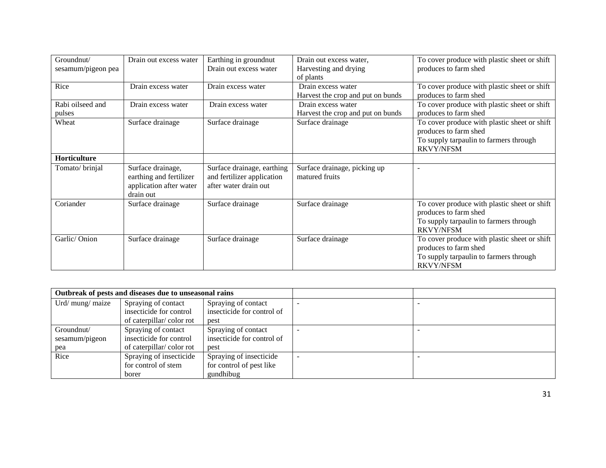| Groundnut/         | Drain out excess water  | Earthing in groundnut      | Drain out excess water,           | To cover produce with plastic sheet or shift |
|--------------------|-------------------------|----------------------------|-----------------------------------|----------------------------------------------|
| sesamum/pigeon pea |                         | Drain out excess water     | Harvesting and drying             | produces to farm shed                        |
|                    |                         |                            | of plants                         |                                              |
| Rice               | Drain excess water      | Drain excess water         | Drain excess water                | To cover produce with plastic sheet or shift |
|                    |                         |                            | Harvest the crop and put on bunds | produces to farm shed                        |
| Rabi oilseed and   | Drain excess water      | Drain excess water         | Drain excess water                | To cover produce with plastic sheet or shift |
| pulses             |                         |                            | Harvest the crop and put on bunds | produces to farm shed                        |
| Wheat              | Surface drainage        | Surface drainage           | Surface drainage                  | To cover produce with plastic sheet or shift |
|                    |                         |                            |                                   | produces to farm shed                        |
|                    |                         |                            |                                   | To supply tarpaulin to farmers through       |
|                    |                         |                            |                                   | <b>RKVY/NFSM</b>                             |
| Horticulture       |                         |                            |                                   |                                              |
| Tomato/brinjal     | Surface drainage,       | Surface drainage, earthing | Surface drainage, picking up      |                                              |
|                    | earthing and fertilizer | and fertilizer application | matured fruits                    |                                              |
|                    | application after water | after water drain out      |                                   |                                              |
|                    | drain out               |                            |                                   |                                              |
| Coriander          | Surface drainage        | Surface drainage           | Surface drainage                  | To cover produce with plastic sheet or shift |
|                    |                         |                            |                                   | produces to farm shed                        |
|                    |                         |                            |                                   | To supply tarpaulin to farmers through       |
|                    |                         |                            |                                   | <b>RKVY/NFSM</b>                             |
| Garlic/Onion       | Surface drainage        | Surface drainage           | Surface drainage                  | To cover produce with plastic sheet or shift |
|                    |                         |                            |                                   | produces to farm shed                        |
|                    |                         |                            |                                   | To supply tarpaulin to farmers through       |
|                    |                         |                            |                                   | <b>RKVY/NFSM</b>                             |

| Outbreak of pests and diseases due to unseasonal rains |                          |                            |  |
|--------------------------------------------------------|--------------------------|----------------------------|--|
| Urd/ mung/ maize                                       | Spraying of contact      | Spraying of contact        |  |
|                                                        | insecticide for control  | insecticide for control of |  |
|                                                        | of caterpillar/color rot | pest                       |  |
| Groundnut/                                             | Spraying of contact      | Spraying of contact        |  |
| sesamum/pigeon                                         | insecticide for control  | insecticide for control of |  |
| pea                                                    | of caterpillar/color rot | pest                       |  |
| Rice                                                   | Spraying of insecticide  | Spraying of insecticide    |  |
|                                                        | for control of stem      | for control of pest like   |  |
|                                                        | borer                    | gundhibug                  |  |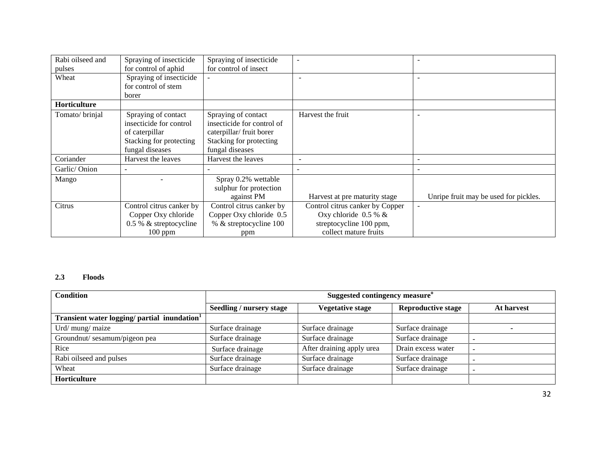| Rabi oilseed and    | Spraying of insecticide  | Spraying of insecticide    |                                 |                                       |
|---------------------|--------------------------|----------------------------|---------------------------------|---------------------------------------|
| pulses              | for control of aphid     | for control of insect      |                                 |                                       |
| Wheat               | Spraying of insecticide  |                            |                                 |                                       |
|                     | for control of stem      |                            |                                 |                                       |
|                     | borer                    |                            |                                 |                                       |
| <b>Horticulture</b> |                          |                            |                                 |                                       |
| Tomato/brinjal      | Spraying of contact      | Spraying of contact        | Harvest the fruit               | $\overline{\phantom{a}}$              |
|                     | insecticide for control  | insecticide for control of |                                 |                                       |
|                     | of caterpillar           | caterpillar/ fruit borer   |                                 |                                       |
|                     | Stacking for protecting  | Stacking for protecting    |                                 |                                       |
|                     | fungal diseases          | fungal diseases            |                                 |                                       |
| Coriander           | Harvest the leaves       | Harvest the leaves         |                                 | $\overline{\phantom{a}}$              |
| Garlic/Onion        |                          |                            |                                 |                                       |
| Mango               |                          | Spray 0.2% wettable        |                                 |                                       |
|                     |                          | sulphur for protection     |                                 |                                       |
|                     |                          | against PM                 | Harvest at pre maturity stage   | Unripe fruit may be used for pickles. |
| Citrus              | Control citrus canker by | Control citrus canker by   | Control citrus canker by Copper | $\overline{\phantom{a}}$              |
|                     | Copper Oxy chloride      | Copper Oxy chloride 0.5    | Oxy chloride $0.5 %$ &          |                                       |
|                     | 0.5 % & streptocycline   | % & streptocycline 100     | streptocycline 100 ppm,         |                                       |
|                     | $100$ ppm                | ppm                        | collect mature fruits           |                                       |

#### **2.3 Floods**

| <b>Condition</b>                                         | Suggested contingency measure <sup>o</sup> |                           |                           |            |
|----------------------------------------------------------|--------------------------------------------|---------------------------|---------------------------|------------|
|                                                          | <b>Seedling / nursery stage</b>            | <b>Vegetative stage</b>   | <b>Reproductive stage</b> | At harvest |
| Transient water logging/ partial inundation <sup>1</sup> |                                            |                           |                           |            |
| Urd/ mung/ maize                                         | Surface drainage                           | Surface drainage          | Surface drainage          |            |
| Groundnut/sesamum/pigeon pea                             | Surface drainage                           | Surface drainage          | Surface drainage          |            |
| Rice                                                     | Surface drainage                           | After draining apply urea | Drain excess water        |            |
| Rabi oilseed and pulses                                  | Surface drainage                           | Surface drainage          | Surface drainage          |            |
| Wheat                                                    | Surface drainage                           | Surface drainage          | Surface drainage          |            |
| Horticulture                                             |                                            |                           |                           |            |